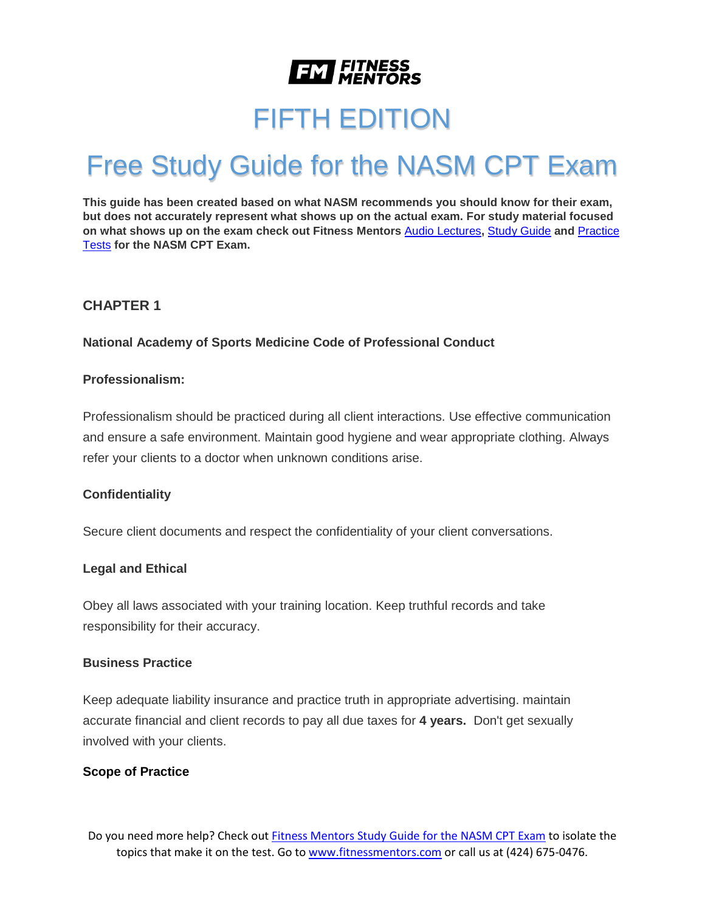

# FIFTH EDITION

# Free Study Guide for the NASM CPT Exam

**This guide has been created based on what NASM recommends you should know for their exam, but does not accurately represent what shows up on the actual exam. For study material focused on what shows up on the exam check out Fitness Mentors** [Audio Lectures](https://www.fitnessmentors.com/nasm-cpt-exam-audio-lectures/)**,** [Study Guide](https://www.fitnessmentors.com/nasm-cpt-exam-study-guide/) **and** [Practice](https://www.fitnessmentors.com/practice-tests-for-nasm-cpt/)  [Tests](https://www.fitnessmentors.com/practice-tests-for-nasm-cpt/) **for the NASM CPT Exam.**

#### **CHAPTER 1**

**National Academy of Sports Medicine Code of Professional Conduct**

#### **Professionalism:**

Professionalism should be practiced during all client interactions. Use effective communication and ensure a safe environment. Maintain good hygiene and wear appropriate clothing. Always refer your clients to a doctor when unknown conditions arise.

#### **Confidentiality**

Secure client documents and respect the confidentiality of your client conversations.

#### **Legal and Ethical**

Obey all laws associated with your training location. Keep truthful records and take responsibility for their accuracy.

#### **Business Practice**

Keep adequate liability insurance and practice truth in appropriate advertising. maintain accurate financial and client records to pay all due taxes for **4 years.** Don't get sexually involved with your clients.

#### **Scope of Practice**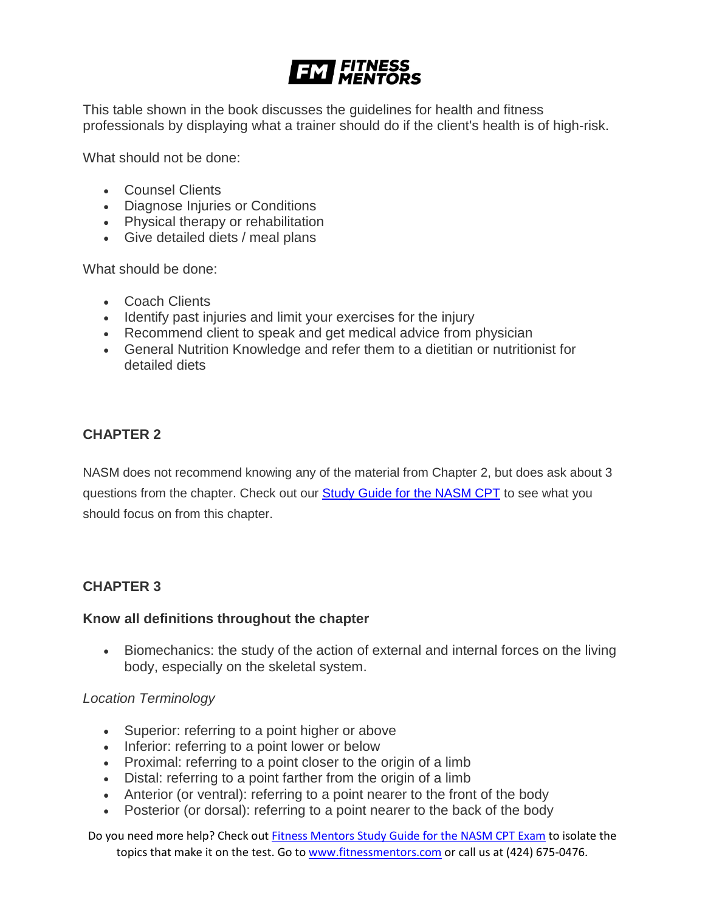# **EM FITNESS**

This table shown in the book discusses the guidelines for health and fitness professionals by displaying what a trainer should do if the client's health is of high-risk.

What should not be done:

- Counsel Clients
- Diagnose Injuries or Conditions
- Physical therapy or rehabilitation
- Give detailed diets / meal plans

What should be done:

- Coach Clients
- Identify past injuries and limit your exercises for the injury
- Recommend client to speak and get medical advice from physician
- General Nutrition Knowledge and refer them to a dietitian or nutritionist for detailed diets

# **CHAPTER 2**

NASM does not recommend knowing any of the material from Chapter 2, but does ask about 3 questions from the chapter. Check out our **[Study Guide for the NASM CPT](https://www.fitnessmentors.com/newsite/nasm-cpt-exam-study-guide/)** to see what you should focus on from this chapter.

#### **CHAPTER 3**

#### **Know all definitions throughout the chapter**

• Biomechanics: the study of the action of external and internal forces on the living body, especially on the skeletal system.

#### *Location Terminology*

- Superior: referring to a point higher or above
- Inferior: referring to a point lower or below
- Proximal: referring to a point closer to the origin of a limb
- Distal: referring to a point farther from the origin of a limb
- Anterior (or ventral): referring to a point nearer to the front of the body
- Posterior (or dorsal): referring to a point nearer to the back of the body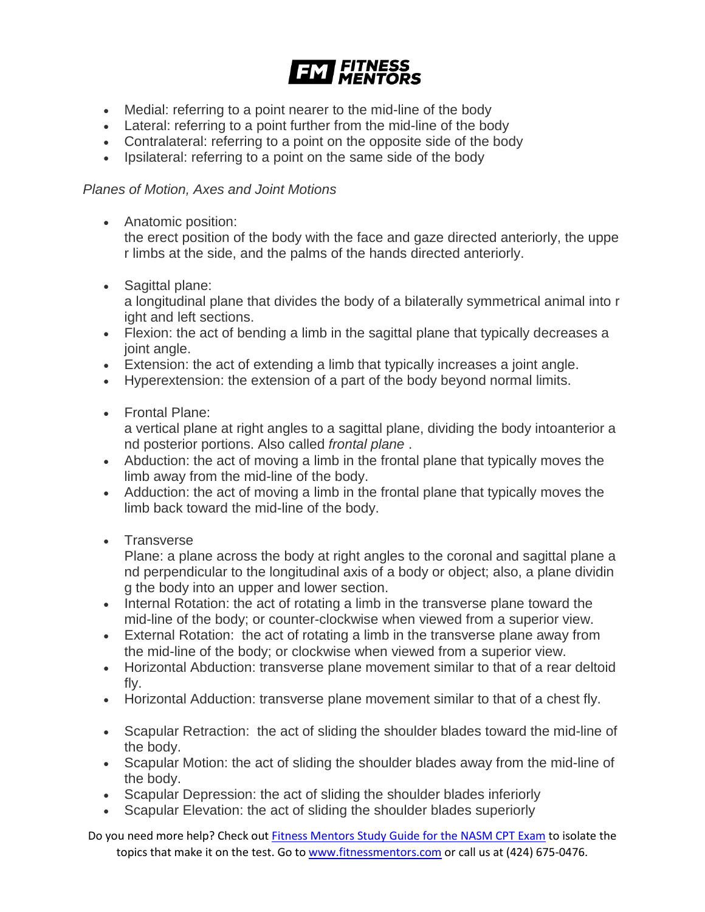

- Medial: referring to a point nearer to the mid-line of the body
- Lateral: referring to a point further from the mid-line of the body
- Contralateral: referring to a point on the opposite side of the body
- Ipsilateral: referring to a point on the same side of the body

# *Planes of Motion, Axes and Joint Motions*

- Anatomic position: the erect position of the body with the face and gaze directed anteriorly, the uppe r limbs at the side, and the palms of the hands directed anteriorly.
- Sagittal plane:

a longitudinal plane that divides the body of a bilaterally symmetrical animal into r ight and left sections.

- Flexion: the act of bending a limb in the sagittal plane that typically decreases a joint angle.
- Extension: the act of extending a limb that typically increases a joint angle.
- Hyperextension: the extension of a part of the body beyond normal limits.
- Frontal Plane:

a vertical plane at right angles to a sagittal plane, dividing the body intoanterior a nd posterior portions. Also called *frontal plane* .

- Abduction: the act of moving a limb in the frontal plane that typically moves the limb away from the mid-line of the body.
- Adduction: the act of moving a limb in the frontal plane that typically moves the limb back toward the mid-line of the body.
- Transverse

Plane: a plane across the body at right angles to the coronal and sagittal plane a nd perpendicular to the longitudinal axis of a body or object; also, a plane dividin g the body into an upper and lower section.

- Internal Rotation: the act of rotating a limb in the transverse plane toward the mid-line of the body; or counter-clockwise when viewed from a superior view.
- External Rotation: the act of rotating a limb in the transverse plane away from the mid-line of the body; or clockwise when viewed from a superior view.
- Horizontal Abduction: transverse plane movement similar to that of a rear deltoid fly.
- Horizontal Adduction: transverse plane movement similar to that of a chest fly.
- Scapular Retraction: the act of sliding the shoulder blades toward the mid-line of the body.
- Scapular Motion: the act of sliding the shoulder blades away from the mid-line of the body.
- Scapular Depression: the act of sliding the shoulder blades inferiorly
- Scapular Elevation: the act of sliding the shoulder blades superiorly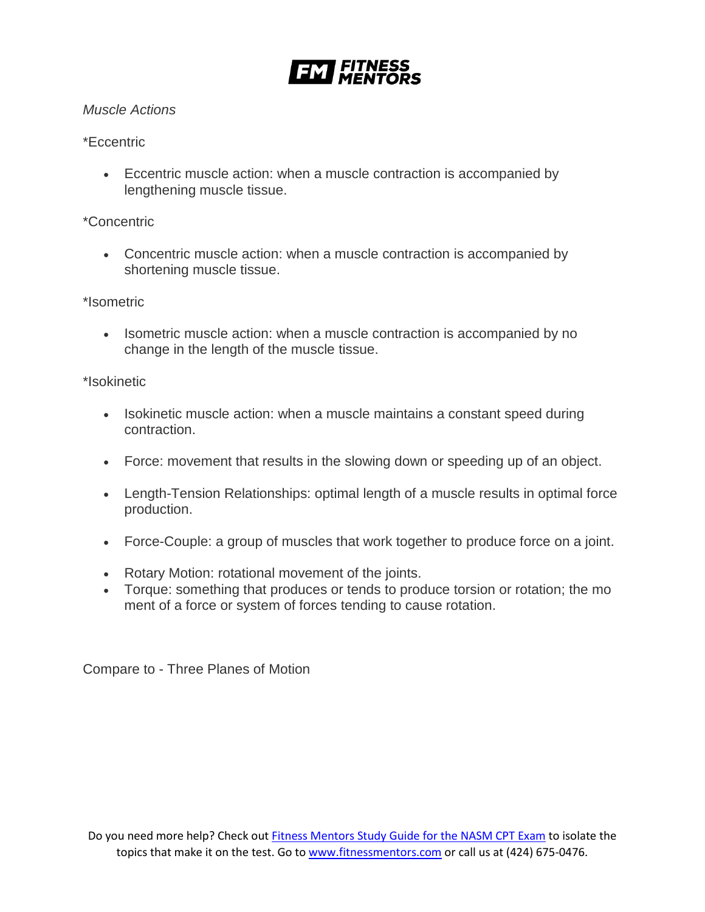

### *Muscle Actions*

# \*Eccentric

• Eccentric muscle action: when a muscle contraction is accompanied by lengthening muscle tissue.

# \*Concentric

• Concentric muscle action: when a muscle contraction is accompanied by shortening muscle tissue.

# \*Isometric

• Isometric muscle action: when a muscle contraction is accompanied by no change in the length of the muscle tissue.

# \*Isokinetic

- Isokinetic muscle action: when a muscle maintains a constant speed during contraction.
- Force: movement that results in the slowing down or speeding up of an object.
- Length-Tension Relationships: optimal length of a muscle results in optimal force production.
- Force-Couple: a group of muscles that work together to produce force on a joint.
- Rotary Motion: rotational movement of the joints.
- Torque: something that produces or tends to produce torsion or rotation; the mo ment of a force or system of forces tending to cause rotation.

Compare to - Three Planes of Motion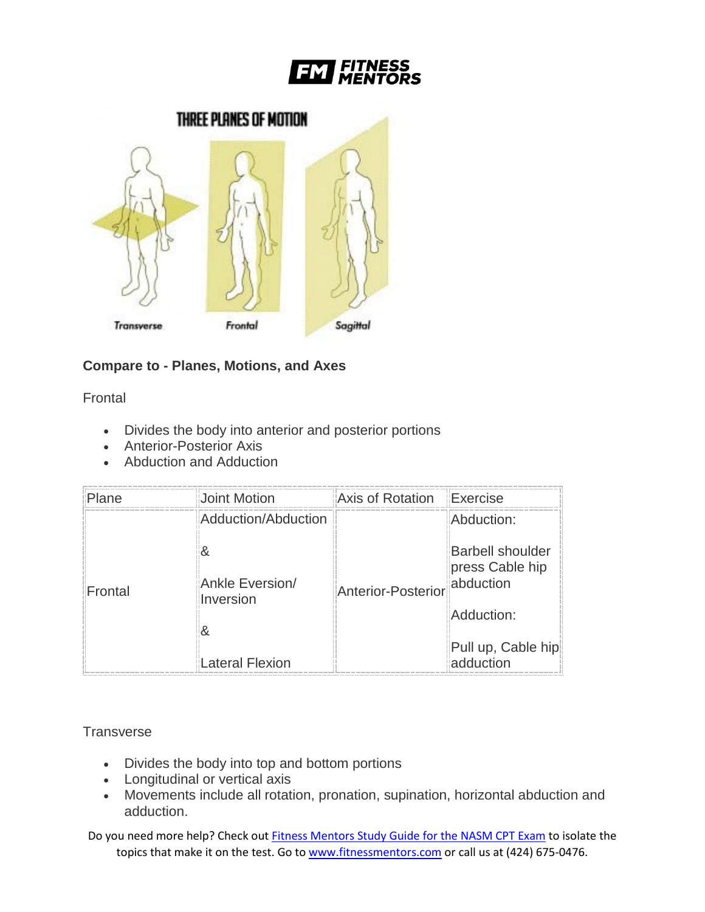



# **Compare to - Planes, Motions, and Axes**

**Frontal** 

- Divides the body into anterior and posterior portions
- Anterior-Posterior Axis
- Abduction and Adduction

| Plane   | Joint Motion           | Axis of Rotation   Exercise |                                                         |
|---------|------------------------|-----------------------------|---------------------------------------------------------|
|         | Adduction/Abduction    |                             | Abduction:                                              |
| Frontal | w<br>Ankle Eversion/   | <b>Anterior-Posterior</b>   | <b>Barbell shoulder</b><br>press Cable hip<br>abduction |
|         | Inversion              |                             | Adduction:                                              |
|         | <b>Lateral Flexion</b> |                             | Pull up, Cable hip<br>adduction                         |

# **Transverse**

- Divides the body into top and bottom portions
- Longitudinal or vertical axis
- Movements include all rotation, pronation, supination, horizontal abduction and adduction.

Do you need more help? Check out [Fitness Mentors Study Guide for the NASM CPT Exam](https://www.fitnessmentors.com/nasm-cpt-exam-study-guide/) to isolate the topics that make it on the test. Go to [www.fitnessmentors.com](http://www.fitnessmentors.com/) or call us at (424) 675-0476.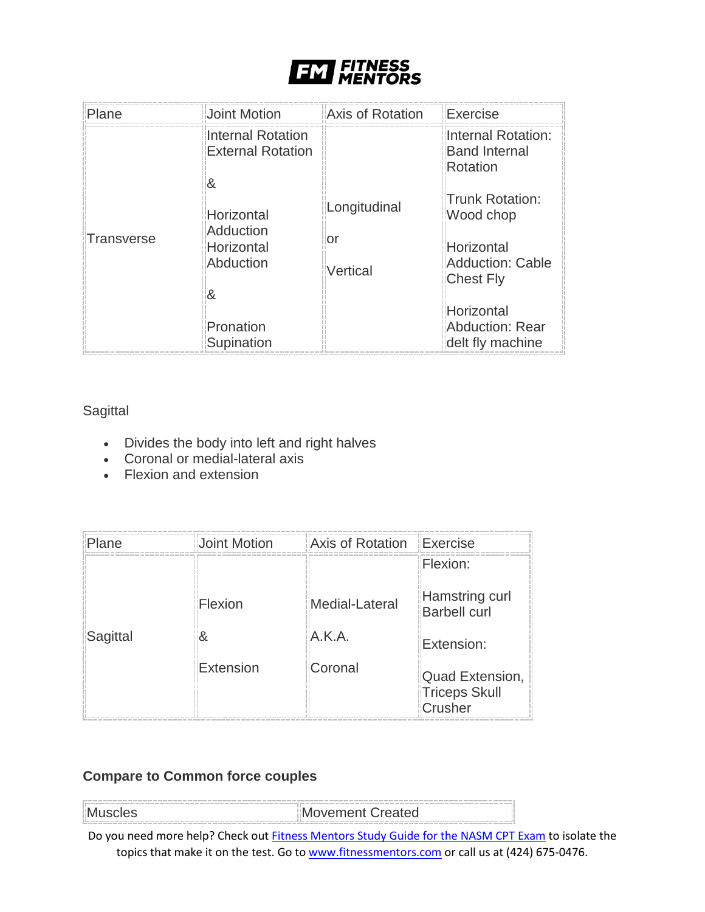

| Plane                | Joint Motion                                         | <b>Axis of Rotation</b>        | <b>Exercise</b>                                                                    |
|----------------------|------------------------------------------------------|--------------------------------|------------------------------------------------------------------------------------|
| &<br>Transverse<br>& | <b>Internal Rotation</b><br><b>External Rotation</b> |                                | Internal Rotation:<br><b>Band Internal</b><br>Rotation                             |
|                      | Horizontal<br>Adduction<br>Horizontal<br>Abduction   | Longitudinal<br>or<br>Vertical | Trunk Rotation:<br>Wood chop<br>Horizontal<br>Adduction: Cable<br><b>Chest Fly</b> |
|                      | Pronation<br>Supination                              |                                | Horizontal<br>Abduction: Rear<br>delt fly machine                                  |

# **Sagittal**

- Divides the body into left and right halves
- Coronal or medial-lateral axis
- Flexion and extension

| Plane    | Joint Motion | <b>Axis of Rotation Exercise</b> | Flexion:                                    |
|----------|--------------|----------------------------------|---------------------------------------------|
|          | Flexion      | Medial-Lateral                   | Hamstring curl<br><b>Barbell curl</b>       |
| Sagittal |              | A.K.A.                           | Extension:                                  |
|          | Extension    | Coronal                          | Quad Extension,<br>Triceps Skull<br>Crusher |

# **Compare to Common force couples**

| Muscles | Movement Created |  |
|---------|------------------|--|
|         |                  |  |

Do you need more help? Check out [Fitness Mentors Study Guide for the NASM CPT Exam](https://www.fitnessmentors.com/nasm-cpt-exam-study-guide/) to isolate the topics that make it on the test. Go to [www.fitnessmentors.com](http://www.fitnessmentors.com/) or call us at (424) 675-0476.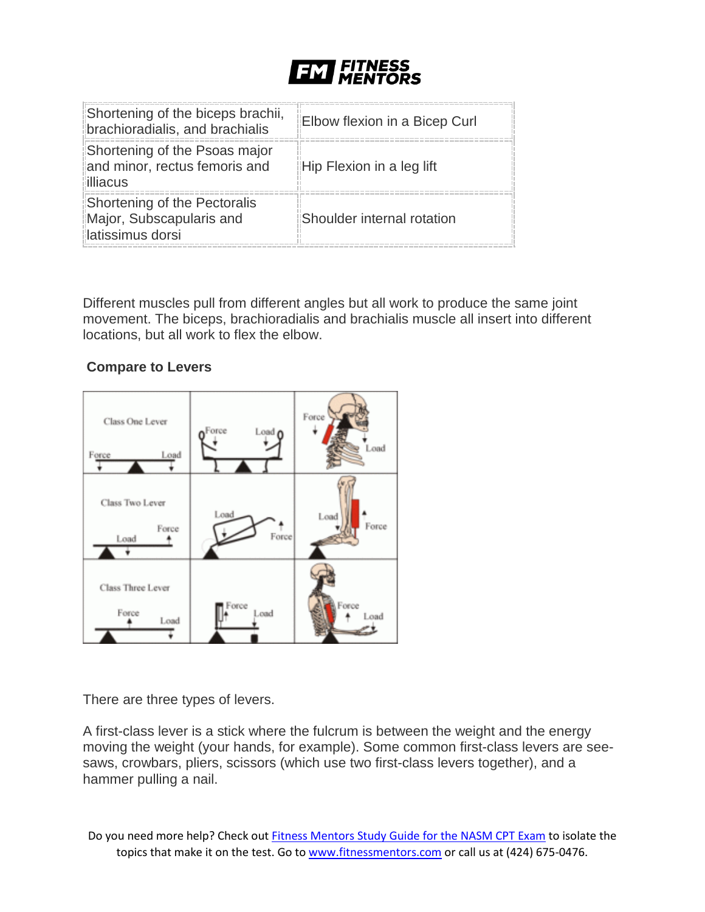

| Shortening of the biceps brachii,<br>brachioradialis, and brachialis         | Elbow flexion in a Bicep Curl |
|------------------------------------------------------------------------------|-------------------------------|
| Shortening of the Psoas major<br>and minor, rectus femoris and<br>illiacus   | Hip Flexion in a leg lift     |
| Shortening of the Pectoralis<br>Major, Subscapularis and<br>latissimus dorsi | Shoulder internal rotation    |

Different muscles pull from different angles but all work to produce the same joint movement. The biceps, brachioradialis and brachialis muscle all insert into different locations, but all work to flex the elbow.

# **Compare to Levers**



There are three types of levers.

A first-class lever is a stick where the fulcrum is between the weight and the energy moving the weight (your hands, for example). Some common first-class levers are seesaws, crowbars, pliers, scissors (which use two first-class levers together), and a hammer pulling a nail.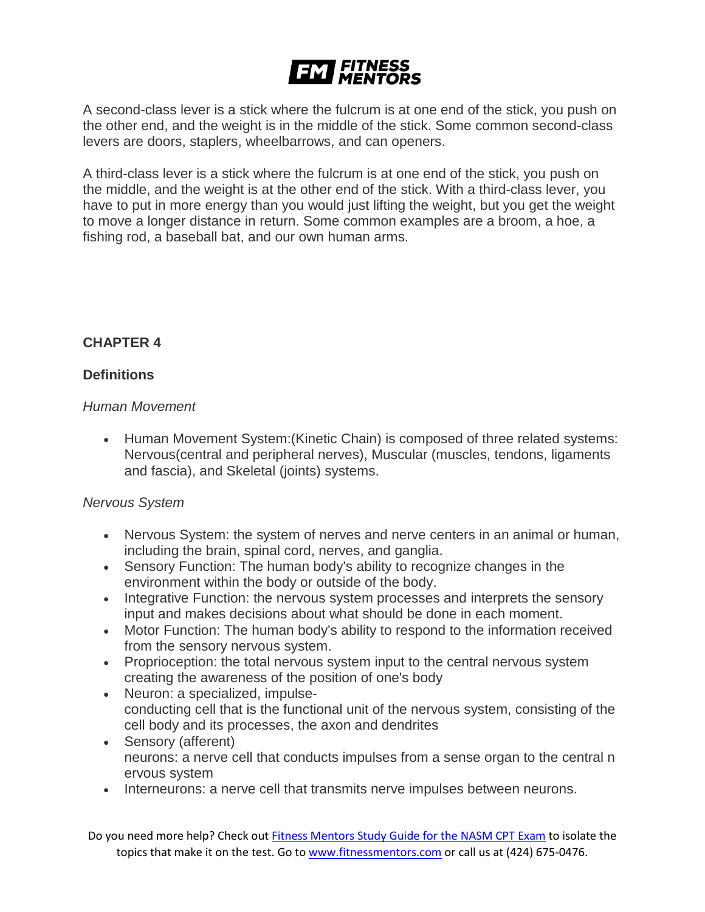# **EM FITNESS**

A second-class lever is a stick where the fulcrum is at one end of the stick, you push on the other end, and the weight is in the middle of the stick. Some common second-class levers are doors, staplers, wheelbarrows, and can openers.

A third-class lever is a stick where the fulcrum is at one end of the stick, you push on the middle, and the weight is at the other end of the stick. With a third-class lever, you have to put in more energy than you would just lifting the weight, but you get the weight to move a longer distance in return. Some common examples are a broom, a hoe, a fishing rod, a baseball bat, and our own human arms.

# **CHAPTER 4**

# **Definitions**

#### *Human Movement*

• Human Movement System:(Kinetic Chain) is composed of three related systems: Nervous(central and peripheral nerves), Muscular (muscles, tendons, ligaments and fascia), and Skeletal (joints) systems.

#### *Nervous System*

- Nervous System: the system of nerves and nerve centers in an animal or human, including the brain, spinal cord, nerves, and ganglia.
- Sensory Function: The human body's ability to recognize changes in the environment within the body or outside of the body.
- Integrative Function: the nervous system processes and interprets the sensory input and makes decisions about what should be done in each moment.
- Motor Function: The human body's ability to respond to the information received from the sensory nervous system.
- Proprioception: the total nervous system input to the central nervous system creating the awareness of the position of one's body
- Neuron: a specialized, impulseconducting cell that is the functional unit of the nervous system, consisting of the cell body and its processes, the axon and dendrites
- Sensory (afferent) neurons: a nerve cell that conducts impulses from a sense organ to the central n ervous system
- Interneurons: a nerve cell that transmits nerve impulses between neurons.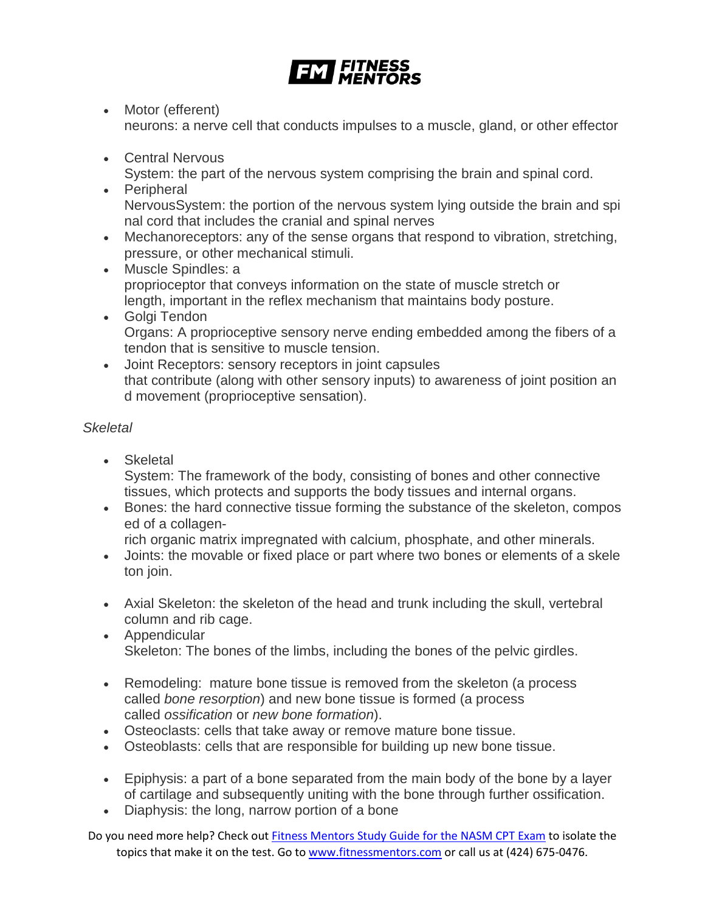

- Motor (efferent) neurons: a nerve cell that conducts impulses to a muscle, gland, or other effector
- Central Nervous

System: the part of the nervous system comprising the brain and spinal cord.

- Peripheral NervousSystem: the portion of the nervous system lying outside the brain and spi nal cord that includes the cranial and spinal nerves
- Mechanoreceptors: any of the sense organs that respond to vibration, stretching, pressure, or other mechanical stimuli.
- Muscle Spindles: a proprioceptor that conveys information on the state of muscle stretch or length, important in the reflex mechanism that maintains body posture.
- Golgi Tendon Organs: A proprioceptive sensory nerve ending embedded among the fibers of a tendon that is sensitive to muscle tension.
- Joint Receptors: sensory receptors in joint capsules that contribute (along with other sensory inputs) to awareness of joint position an d movement (proprioceptive sensation).

# *Skeletal*

- Skeletal System: The framework of the body, consisting of bones and other connective tissues, which protects and supports the body tissues and internal organs.
- Bones: the hard connective tissue forming the substance of the skeleton, compos ed of a collagen-

rich organic matrix impregnated with calcium, phosphate, and other minerals.

- Joints: the movable or fixed place or part where two bones or elements of a skele ton join.
- Axial Skeleton: the skeleton of the head and trunk including the skull, vertebral column and rib cage.
- Appendicular Skeleton: The bones of the limbs, including the bones of the pelvic girdles.
- Remodeling: mature bone tissue is removed from the skeleton (a process called *bone resorption*) and new bone tissue is formed (a process called *ossification* or *new bone formation*).
- Osteoclasts: cells that take away or remove mature bone tissue.
- Osteoblasts: cells that are responsible for building up new bone tissue.
- Epiphysis: a part of a bone separated from the main body of the bone by a layer of cartilage and subsequently uniting with the bone through further ossification.
- Diaphysis: the long, narrow portion of a bone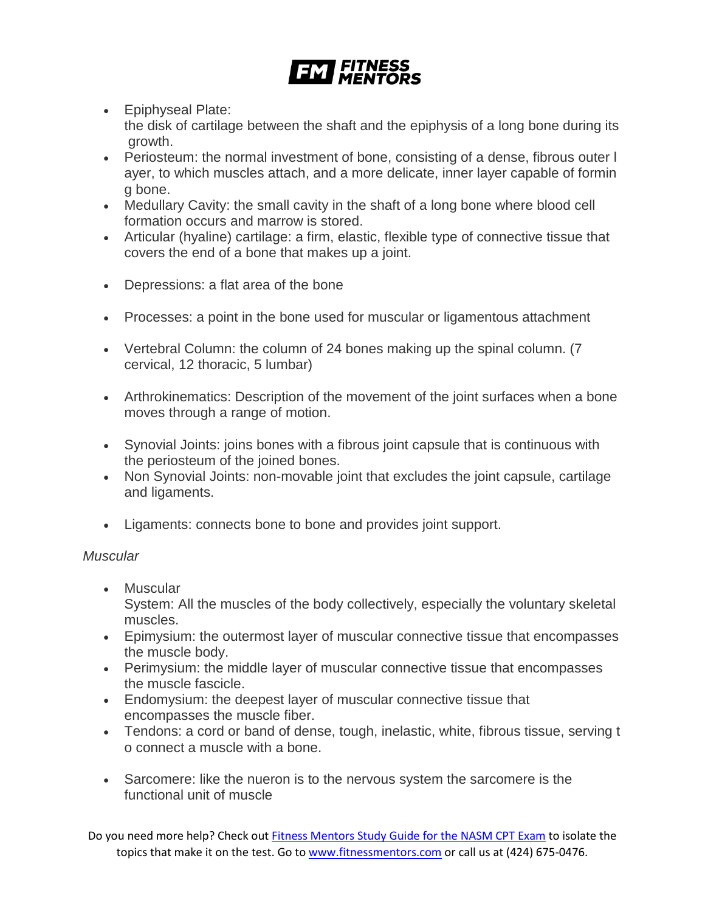

- Epiphyseal Plate: the disk of cartilage between the shaft and the epiphysis of a long bone during its growth.
- Periosteum: the normal investment of bone, consisting of a dense, fibrous outer l ayer, to which muscles attach, and a more delicate, inner layer capable of formin g bone.
- Medullary Cavity: the small cavity in the shaft of a long bone where blood cell formation occurs and marrow is stored.
- Articular (hyaline) cartilage: a firm, elastic, flexible type of connective tissue that covers the end of a bone that makes up a joint.
- Depressions: a flat area of the bone
- Processes: a point in the bone used for muscular or ligamentous attachment
- Vertebral Column: the column of 24 bones making up the spinal column. (7 cervical, 12 thoracic, 5 lumbar)
- Arthrokinematics: Description of the movement of the joint surfaces when a bone moves through a range of motion.
- Synovial Joints: joins bones with a fibrous joint capsule that is continuous with the periosteum of the joined bones.
- Non Synovial Joints: non-movable joint that excludes the joint capsule, cartilage and ligaments.
- Ligaments: connects bone to bone and provides joint support.

# *Muscular*

- Muscular System: All the muscles of the body collectively, especially the voluntary skeletal muscles.
- Epimysium: the outermost layer of muscular connective tissue that encompasses the muscle body.
- Perimysium: the middle layer of muscular connective tissue that encompasses the muscle fascicle.
- Endomysium: the deepest layer of muscular connective tissue that encompasses the muscle fiber.
- Tendons: a cord or band of dense, tough, inelastic, white, fibrous tissue, serving t o connect a muscle with a bone.
- Sarcomere: like the nueron is to the nervous system the sarcomere is the functional unit of muscle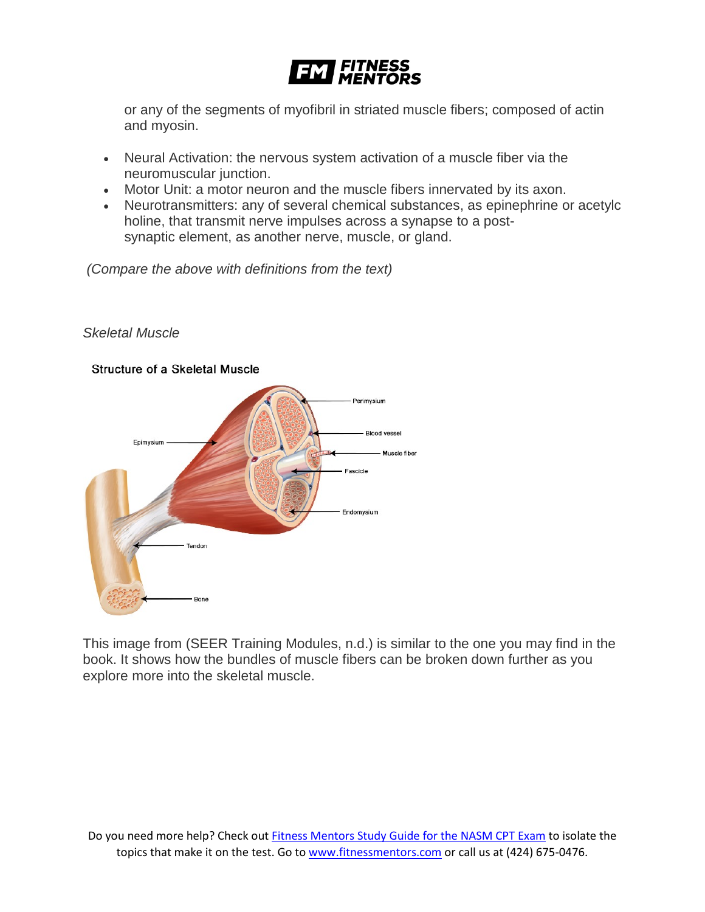

or any of the segments of myofibril in striated muscle fibers; composed of actin and myosin.

- Neural Activation: the nervous system activation of a muscle fiber via the neuromuscular junction.
- Motor Unit: a motor neuron and the muscle fibers innervated by its axon.
- Neurotransmitters: any of several chemical substances, as epinephrine or acetylc holine, that transmit nerve impulses across a synapse to a postsynaptic element, as another nerve, muscle, or gland.

*(Compare the above with definitions from the text)*



#### *Skeletal Muscle*

This image from (SEER Training Modules, n.d.) is similar to the one you may find in the book. It shows how the bundles of muscle fibers can be broken down further as you explore more into the skeletal muscle.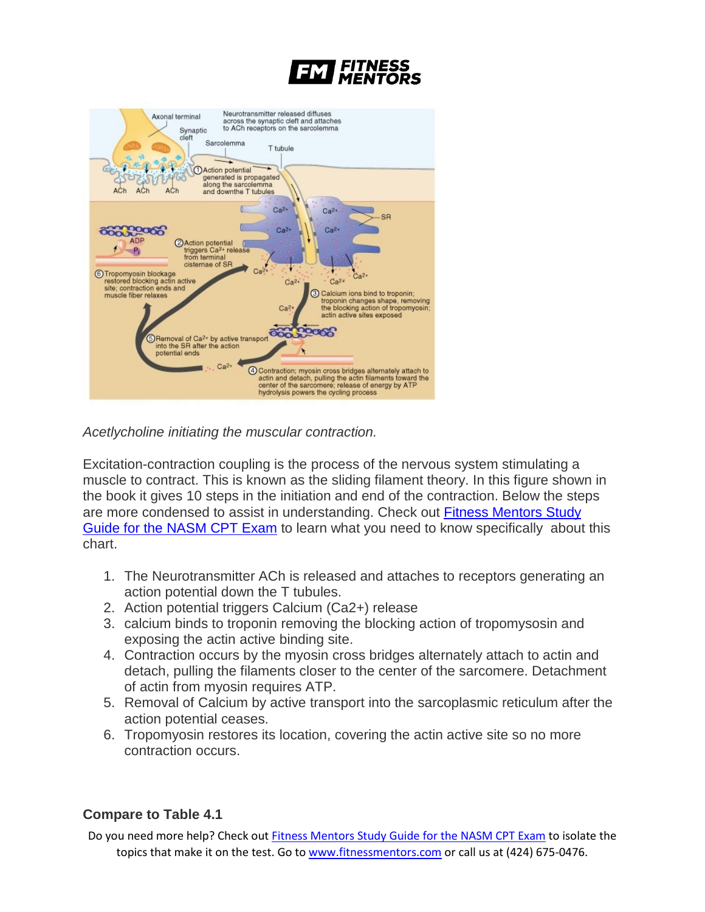



*Acetlycholine initiating the muscular contraction.*

Excitation-contraction coupling is the process of the nervous system stimulating a muscle to contract. This is known as the sliding filament theory. In this figure shown in the book it gives 10 steps in the initiation and end of the contraction. Below the steps are more condensed to assist in understanding. Check out [Fitness Mentors Study](https://www.fitnessmentors.com/nasm-cpt-exam-study-guide/)  [Guide for the NASM CPT Exam](https://www.fitnessmentors.com/nasm-cpt-exam-study-guide/) to learn what you need to know specifically about this chart.

- 1. The Neurotransmitter ACh is released and attaches to receptors generating an action potential down the T tubules.
- 2. Action potential triggers Calcium (Ca2+) release
- 3. calcium binds to troponin removing the blocking action of tropomysosin and exposing the actin active binding site.
- 4. Contraction occurs by the myosin cross bridges alternately attach to actin and detach, pulling the filaments closer to the center of the sarcomere. Detachment of actin from myosin requires ATP.
- 5. Removal of Calcium by active transport into the sarcoplasmic reticulum after the action potential ceases.
- 6. Tropomyosin restores its location, covering the actin active site so no more contraction occurs.

# **Compare to Table 4.1**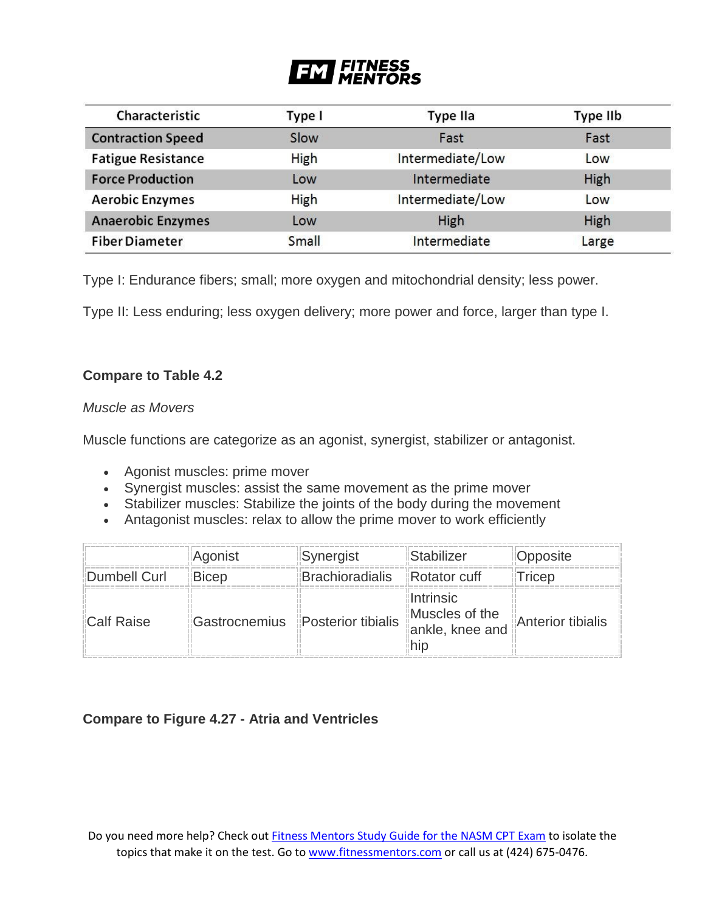# **FITNESS<br>MENTORS** FM

| Characteristic            | Type I       | Type IIa         | Type IIb |
|---------------------------|--------------|------------------|----------|
| <b>Contraction Speed</b>  | Slow         | Fast             | Fast     |
| <b>Fatigue Resistance</b> | <b>High</b>  | Intermediate/Low | Low      |
| <b>Force Production</b>   | Low          | Intermediate     | High     |
| <b>Aerobic Enzymes</b>    | <b>High</b>  | Intermediate/Low | Low      |
| <b>Anaerobic Enzymes</b>  | Low          | High             | High     |
| <b>Fiber Diameter</b>     | <b>Small</b> | Intermediate     | Large    |

Type I: Endurance fibers; small; more oxygen and mitochondrial density; less power.

Type II: Less enduring; less oxygen delivery; more power and force, larger than type I.

# **Compare to Table 4.2**

#### *Muscle as Movers*

Muscle functions are categorize as an agonist, synergist, stabilizer or antagonist.

- Agonist muscles: prime mover
- Synergist muscles: assist the same movement as the prime mover
- Stabilizer muscles: Stabilize the joints of the body during the movement
- Antagonist muscles: relax to allow the prime mover to work efficiently

|              | Agonist                                                           | <b>Synergist</b>                    | <b>IStabilizer</b> | Opposite       |
|--------------|-------------------------------------------------------------------|-------------------------------------|--------------------|----------------|
| Dumbell Curl | ⊪Bicep                                                            | Brachioradialis <b>Rotator</b> cuff |                    | <b>ITricep</b> |
| Calf Raise   | Gastrocnemius Posterior tibialis Muscles of the Anterior tibialis |                                     | Intrinsic          |                |

# **Compare to Figure 4.27 - Atria and Ventricles**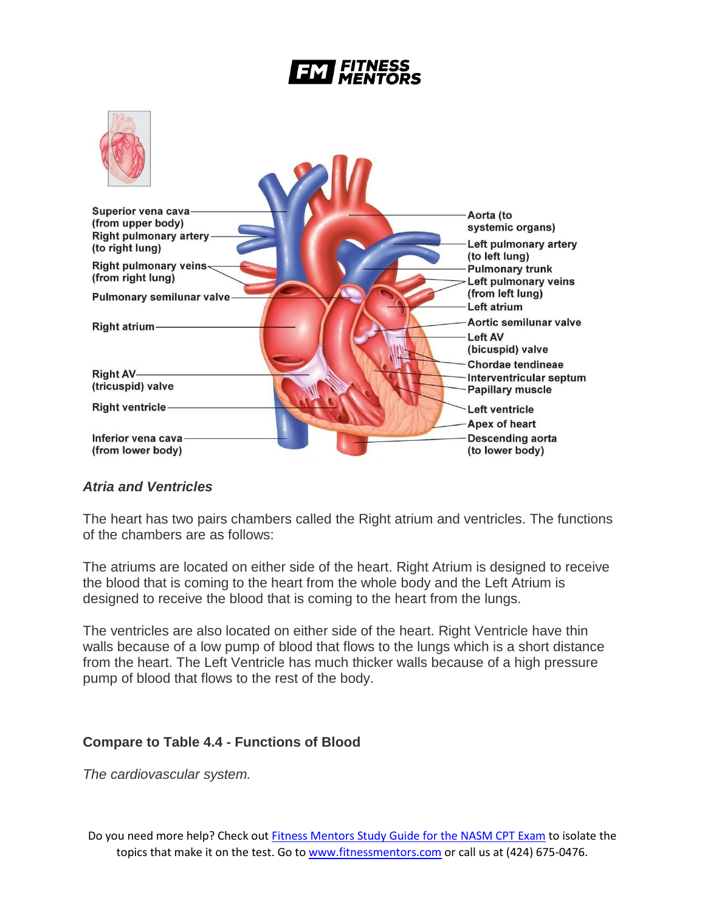# *FITNESS*



# *Atria and Ventricles*

The heart has two pairs chambers called the Right atrium and ventricles. The functions of the chambers are as follows:

The atriums are located on either side of the heart. Right Atrium is designed to receive the blood that is coming to the heart from the whole body and the Left Atrium is designed to receive the blood that is coming to the heart from the lungs.

The ventricles are also located on either side of the heart. Right Ventricle have thin walls because of a low pump of blood that flows to the lungs which is a short distance from the heart. The Left Ventricle has much thicker walls because of a high pressure pump of blood that flows to the rest of the body.

#### **Compare to Table 4.4 - Functions of Blood**

*The cardiovascular system.*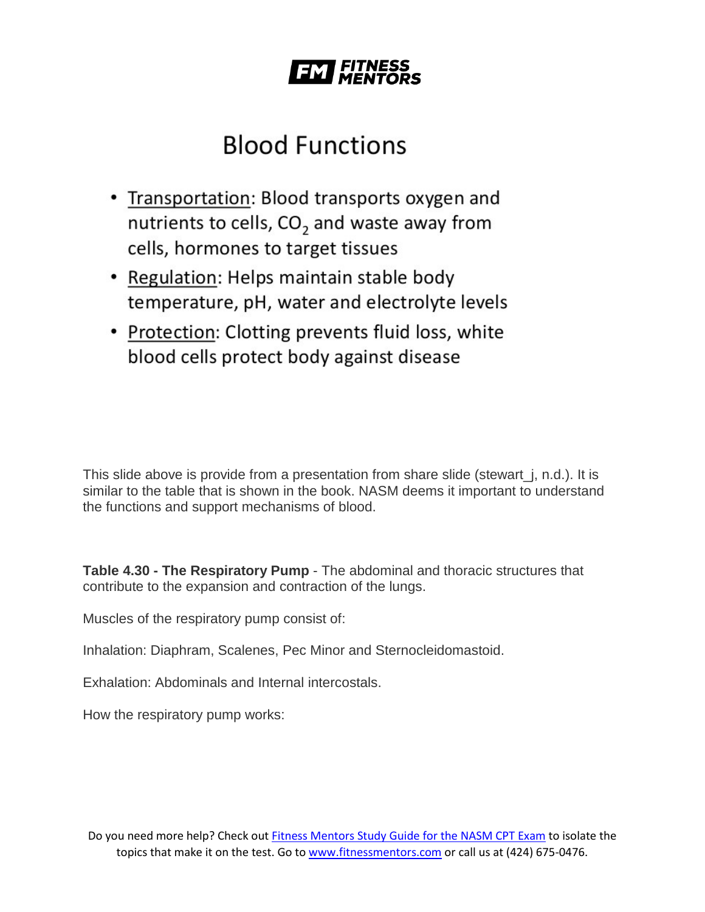

# **Blood Functions**

- Transportation: Blood transports oxygen and nutrients to cells, CO<sub>2</sub> and waste away from cells, hormones to target tissues
- Regulation: Helps maintain stable body temperature, pH, water and electrolyte levels
- Protection: Clotting prevents fluid loss, white blood cells protect body against disease

This slide above is provide from a presentation from share slide (stewart\_j, n.d.). It is similar to the table that is shown in the book. NASM deems it important to understand the functions and support mechanisms of blood.

**Table 4.30 - The Respiratory Pump** - The abdominal and thoracic structures that contribute to the expansion and contraction of the lungs.

Muscles of the respiratory pump consist of:

Inhalation: Diaphram, Scalenes, Pec Minor and Sternocleidomastoid.

Exhalation: Abdominals and Internal intercostals.

How the respiratory pump works: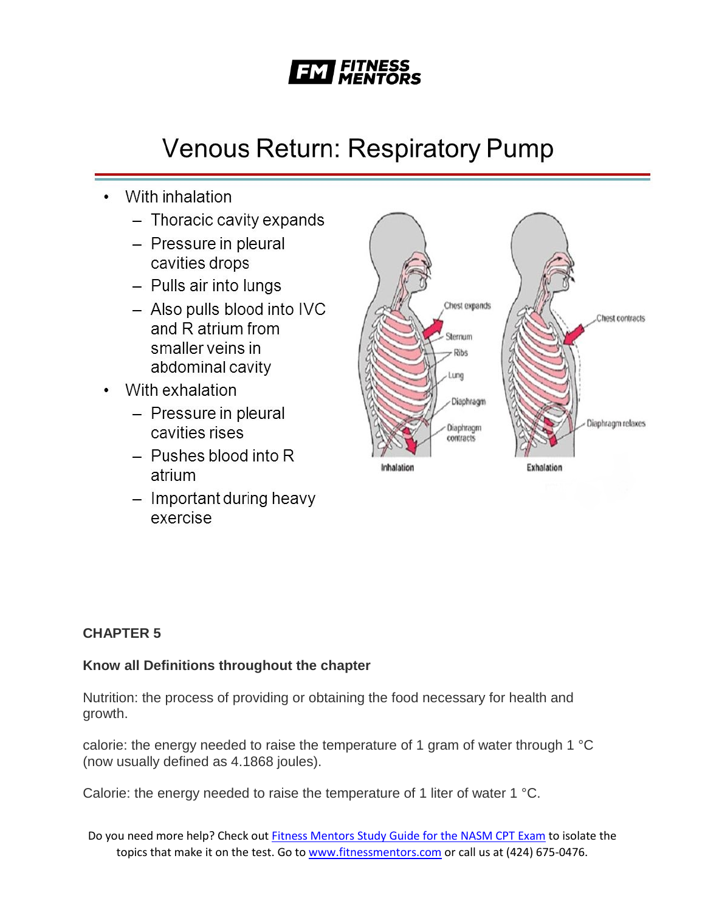

# **Venous Return: Respiratory Pump**

- With inhalation
	- Thoracic cavity expands
	- Pressure in pleural cavities drops
	- Pulls air into lungs
	- Also pulls blood into IVC and R atrium from smaller veins in abdominal cavity
- With exhalation
	- Pressure in pleural cavities rises
	- $-$  Pushes blood into R atrium
	- Important during heavy exercise



# **CHAPTER 5**

# **Know all Definitions throughout the chapter**

Nutrition: the process of providing or obtaining the food necessary for health and growth.

calorie: the energy needed to raise the temperature of 1 gram of water through 1 °C (now usually defined as 4.1868 joules).

Calorie: the energy needed to raise the temperature of 1 liter of water 1 °C.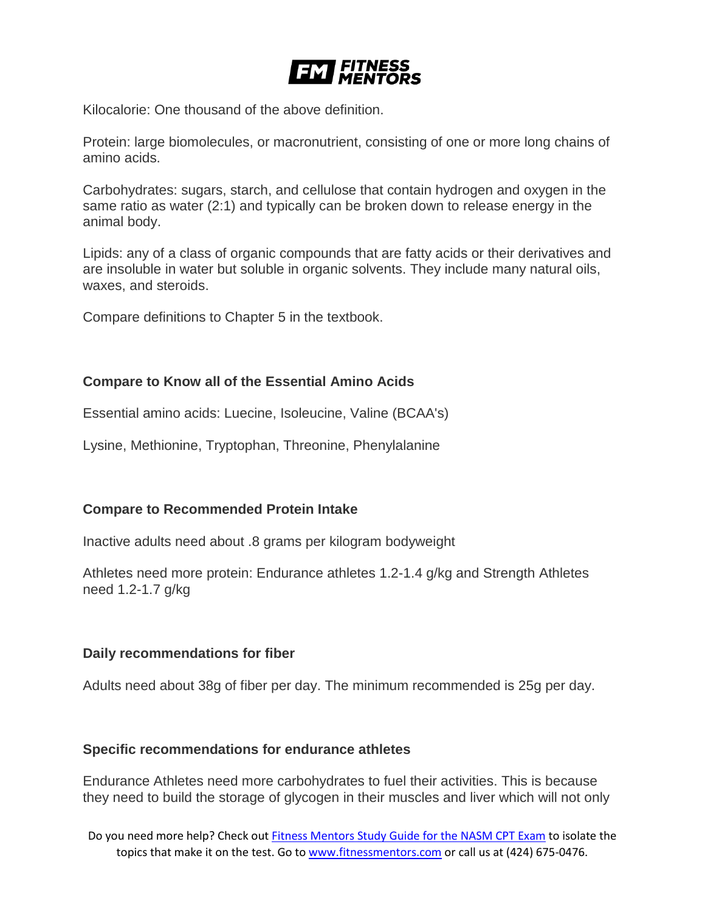

Kilocalorie: One thousand of the above definition.

Protein: large biomolecules, or macronutrient, consisting of one or more long chains of amino acids.

Carbohydrates: sugars, starch, and cellulose that contain hydrogen and oxygen in the same ratio as water (2:1) and typically can be broken down to release energy in the animal body.

Lipids: any of a class of organic compounds that are fatty acids or their derivatives and are insoluble in water but soluble in organic solvents. They include many natural oils, waxes, and steroids.

Compare definitions to Chapter 5 in the textbook.

#### **Compare to Know all of the Essential Amino Acids**

Essential amino acids: Luecine, Isoleucine, Valine (BCAA's)

Lysine, Methionine, Tryptophan, Threonine, Phenylalanine

#### **Compare to Recommended Protein Intake**

Inactive adults need about .8 grams per kilogram bodyweight

Athletes need more protein: Endurance athletes 1.2-1.4 g/kg and Strength Athletes need 1.2-1.7 g/kg

#### **Daily recommendations for fiber**

Adults need about 38g of fiber per day. The minimum recommended is 25g per day.

#### **Specific recommendations for endurance athletes**

Endurance Athletes need more carbohydrates to fuel their activities. This is because they need to build the storage of glycogen in their muscles and liver which will not only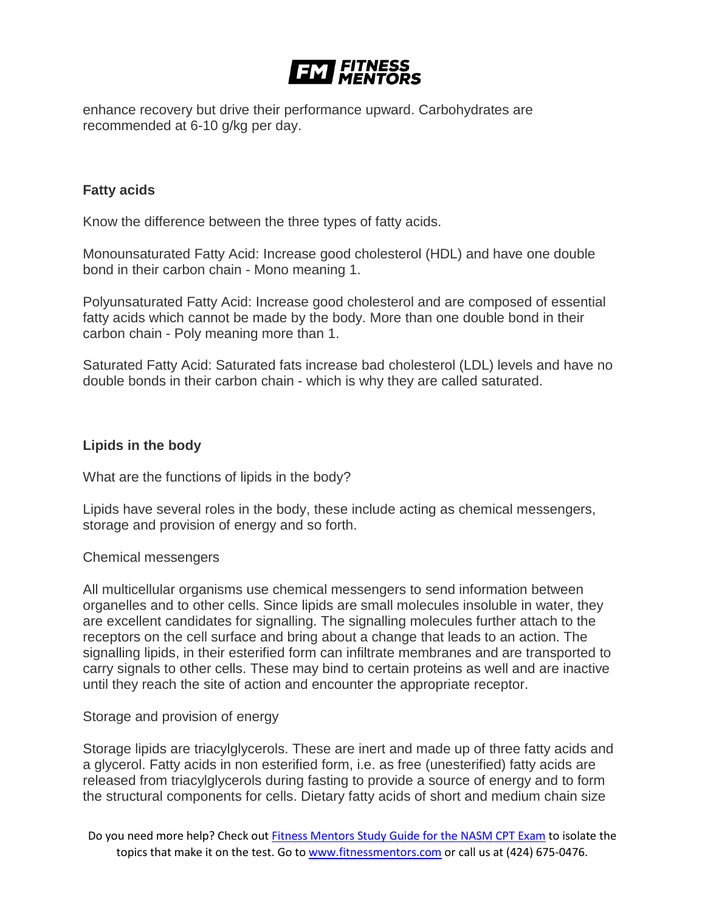

enhance recovery but drive their performance upward. Carbohydrates are recommended at 6-10 g/kg per day.

#### **Fatty acids**

Know the difference between the three types of fatty acids.

Monounsaturated Fatty Acid: Increase good cholesterol (HDL) and have one double bond in their carbon chain - Mono meaning 1.

Polyunsaturated Fatty Acid: Increase good cholesterol and are composed of essential fatty acids which cannot be made by the body. More than one double bond in their carbon chain - Poly meaning more than 1.

Saturated Fatty Acid: Saturated fats increase bad cholesterol (LDL) levels and have no double bonds in their carbon chain - which is why they are called saturated.

#### **Lipids in the body**

What are the functions of lipids in the body?

Lipids have several roles in the body, these include acting as chemical messengers, storage and provision of energy and so forth.

Chemical messengers

All multicellular organisms use chemical messengers to send information between organelles and to other cells. Since lipids are small molecules insoluble in water, they are excellent candidates for signalling. The signalling molecules further attach to the receptors on the cell surface and bring about a change that leads to an action. The signalling lipids, in their esterified form can infiltrate membranes and are transported to carry signals to other cells. These may bind to certain proteins as well and are inactive until they reach the site of action and encounter the appropriate receptor.

#### Storage and provision of energy

Storage lipids are triacylglycerols. These are inert and made up of three fatty acids and a glycerol. Fatty acids in non esterified form, i.e. as free (unesterified) fatty acids are released from triacylglycerols during fasting to provide a source of energy and to form the structural components for cells. Dietary fatty acids of short and medium chain size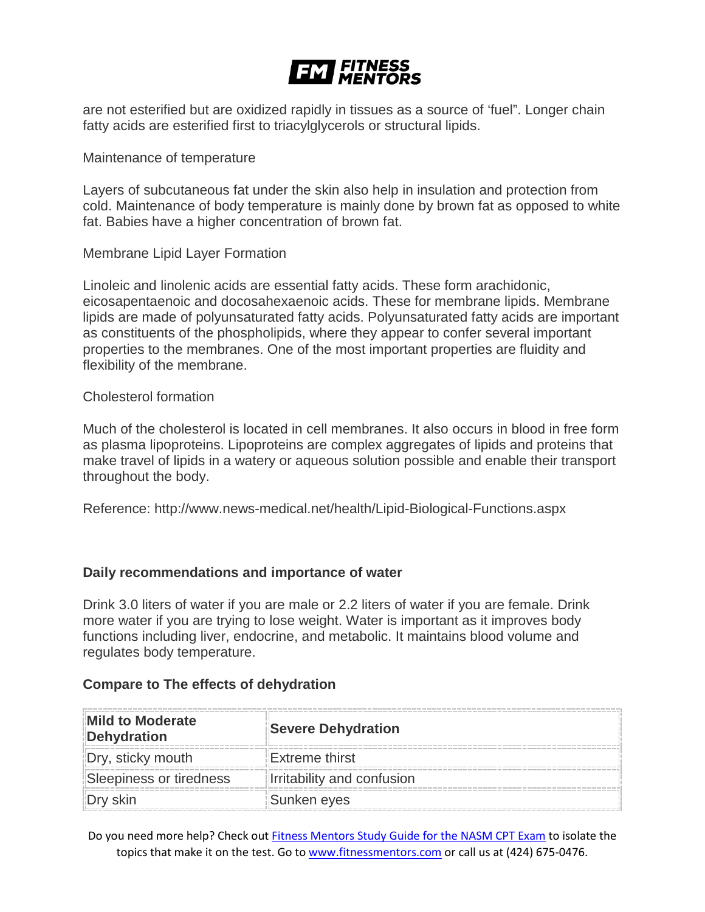

are not esterified but are oxidized rapidly in tissues as a source of 'fuel". Longer chain fatty acids are esterified first to triacylglycerols or structural lipids.

Maintenance of temperature

Layers of subcutaneous fat under the skin also help in insulation and protection from cold. Maintenance of body temperature is mainly done by brown fat as opposed to white fat. Babies have a higher concentration of brown fat.

Membrane Lipid Layer Formation

Linoleic and linolenic acids are essential fatty acids. These form arachidonic, eicosapentaenoic and docosahexaenoic acids. These for membrane lipids. Membrane lipids are made of polyunsaturated fatty acids. Polyunsaturated fatty acids are important as constituents of the phospholipids, where they appear to confer several important properties to the membranes. One of the most important properties are fluidity and flexibility of the membrane.

Cholesterol formation

Much of the cholesterol is located in cell membranes. It also occurs in blood in free form as plasma lipoproteins. Lipoproteins are complex aggregates of lipids and proteins that make travel of lipids in a watery or aqueous solution possible and enable their transport throughout the body.

Reference: http://www.news-medical.net/health/Lipid-Biological-Functions.aspx

#### **Daily recommendations and importance of water**

Drink 3.0 liters of water if you are male or 2.2 liters of water if you are female. Drink more water if you are trying to lose weight. Water is important as it improves body functions including liver, endocrine, and metabolic. It maintains blood volume and regulates body temperature.

#### **Compare to The effects of dehydration**

| <b>Mild to Moderate</b><br>Dehydration | <b>Severe Dehydration</b>    |
|----------------------------------------|------------------------------|
| Dry, sticky mouth                      | Extreme thirst               |
| Sleepiness or tiredness                | Illrritability and confusion |
|                                        | Sunken eyes                  |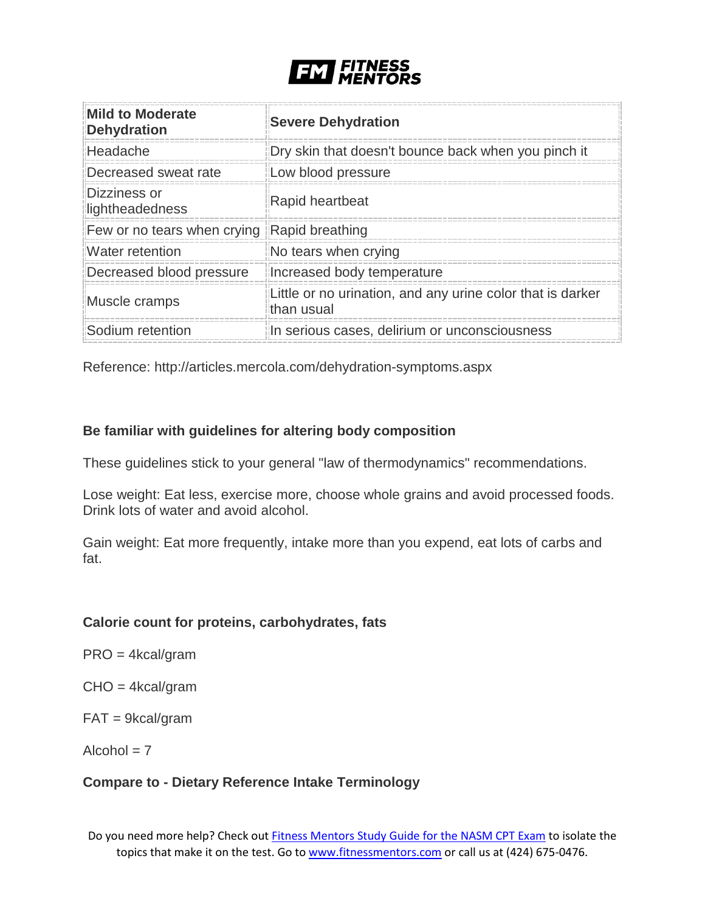

| <b>Mild to Moderate</b><br><b>Dehydration</b> | <b>Severe Dehydration</b>                                                |
|-----------------------------------------------|--------------------------------------------------------------------------|
| Headache                                      | Dry skin that doesn't bounce back when you pinch it                      |
| Decreased sweat rate                          | Low blood pressure                                                       |
| Dizziness or<br>lightheadedness               | Rapid heartbeat                                                          |
| Few or no tears when crying                   | Rapid breathing                                                          |
| Water retention                               | No tears when crying                                                     |
| Decreased blood pressure                      | Increased body temperature                                               |
| Muscle cramps                                 | Little or no urination, and any urine color that is darker<br>than usual |
| Sodium retention                              | In serious cases, delirium or unconsciousness                            |

Reference: http://articles.mercola.com/dehydration-symptoms.aspx

# **Be familiar with guidelines for altering body composition**

These guidelines stick to your general "law of thermodynamics" recommendations.

Lose weight: Eat less, exercise more, choose whole grains and avoid processed foods. Drink lots of water and avoid alcohol.

Gain weight: Eat more frequently, intake more than you expend, eat lots of carbs and fat.

#### **Calorie count for proteins, carbohydrates, fats**

- PRO = 4kcal/gram
- CHO = 4kcal/gram
- FAT = 9kcal/gram
- $Alcohol = 7$

#### **Compare to - Dietary Reference Intake Terminology**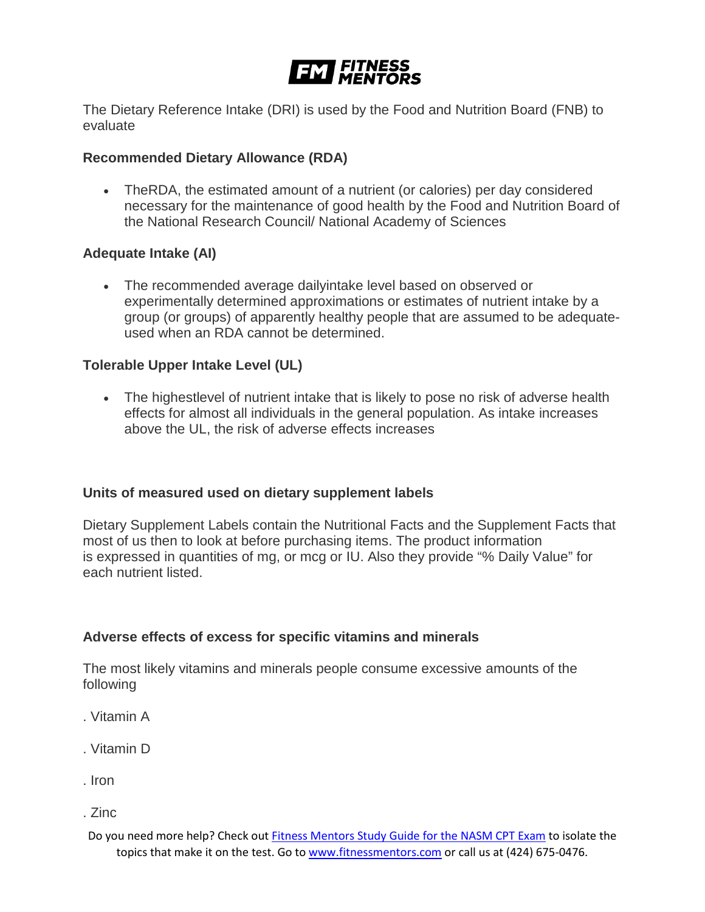

The Dietary Reference Intake (DRI) is used by the Food and Nutrition Board (FNB) to evaluate

# **Recommended Dietary Allowance (RDA)**

• TheRDA, the estimated amount of a nutrient (or calories) per day considered necessary for the maintenance of good health by the Food and Nutrition Board of the National Research Council/ National Academy of Sciences

# **Adequate Intake (AI)**

• The recommended average dailyintake level based on observed or experimentally determined approximations or estimates of nutrient intake by a group (or groups) of apparently healthy people that are assumed to be adequateused when an RDA cannot be determined.

# **Tolerable Upper Intake Level (UL)**

• The highestlevel of nutrient intake that is likely to pose no risk of adverse health effects for almost all individuals in the general population. As intake increases above the UL, the risk of adverse effects increases

#### **Units of measured used on dietary supplement labels**

Dietary Supplement Labels contain the Nutritional Facts and the Supplement Facts that most of us then to look at before purchasing items. The product information is expressed in quantities of mg, or mcg or IU. Also they provide "% Daily Value" for each nutrient listed.

#### **Adverse effects of excess for specific vitamins and minerals**

The most likely vitamins and minerals people consume excessive amounts of the following

- . Vitamin A
- . Vitamin D
- . Iron
- . Zinc
- Do you need more help? Check out [Fitness Mentors Study Guide for the NASM CPT Exam](https://www.fitnessmentors.com/nasm-cpt-exam-study-guide/) to isolate the topics that make it on the test. Go to [www.fitnessmentors.com](http://www.fitnessmentors.com/) or call us at (424) 675-0476.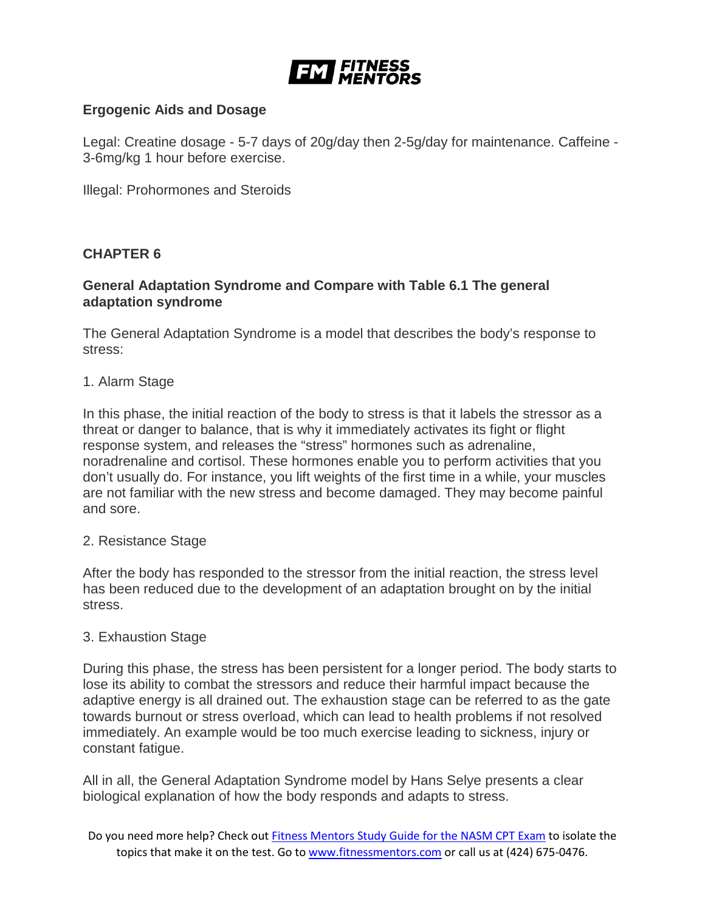

# **Ergogenic Aids and Dosage**

Legal: Creatine dosage - 5-7 days of 20g/day then 2-5g/day for maintenance. Caffeine - 3-6mg/kg 1 hour before exercise.

Illegal: Prohormones and Steroids

#### **CHAPTER 6**

#### **General Adaptation Syndrome and Compare with Table 6.1 The general adaptation syndrome**

The General Adaptation Syndrome is a model that describes the body's response to stress:

1. Alarm Stage

In this phase, the initial reaction of the body to stress is that it labels the stressor as a threat or danger to balance, that is why it immediately activates its fight or flight response system, and releases the "stress" hormones such as adrenaline, noradrenaline and cortisol. These hormones enable you to perform activities that you don't usually do. For instance, you lift weights of the first time in a while, your muscles are not familiar with the new stress and become damaged. They may become painful and sore.

#### 2. Resistance Stage

After the body has responded to the stressor from the initial reaction, the stress level has been reduced due to the development of an adaptation brought on by the initial stress.

#### 3. Exhaustion Stage

During this phase, the stress has been persistent for a longer period. The body starts to lose its ability to combat the stressors and reduce their harmful impact because the adaptive energy is all drained out. The exhaustion stage can be referred to as the gate towards burnout or stress overload, which can lead to health problems if not resolved immediately. An example would be too much exercise leading to sickness, injury or constant fatigue.

All in all, the General Adaptation Syndrome model by Hans Selye presents a clear biological explanation of how the body responds and adapts to stress.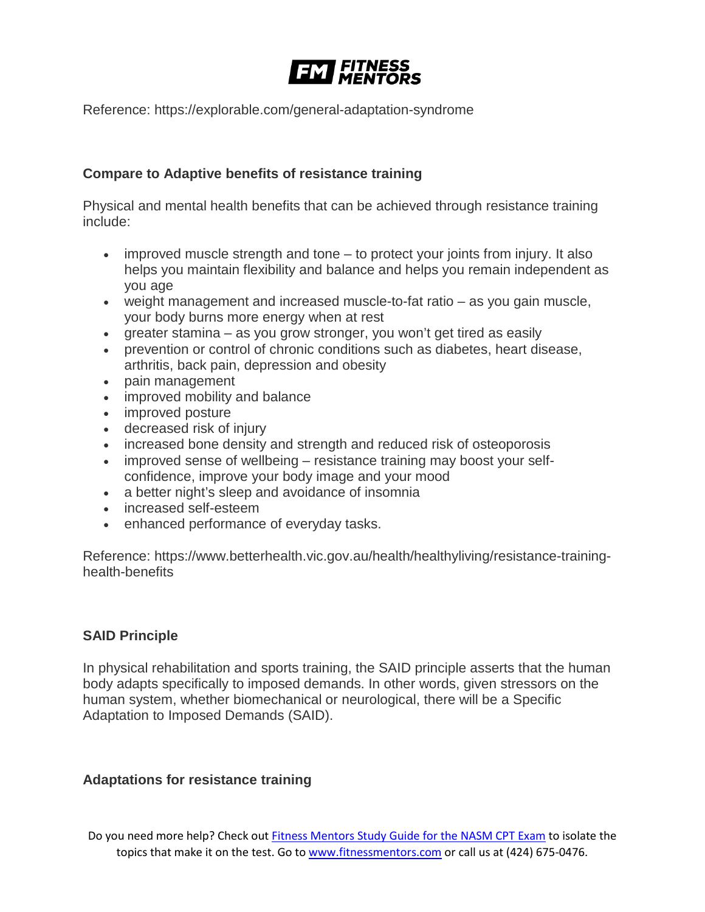

Reference: https://explorable.com/general-adaptation-syndrome

# **Compare to Adaptive benefits of resistance training**

Physical and mental health benefits that can be achieved through resistance training include:

- improved muscle strength and tone to protect your joints from injury. It also helps you maintain flexibility and balance and helps you remain independent as you age
- weight management and increased muscle-to-fat ratio as you gain muscle, your body burns more energy when at rest
- greater stamina as you grow stronger, you won't get tired as easily
- prevention or control of chronic conditions such as diabetes, heart disease, arthritis, back pain, depression and obesity
- pain management
- improved mobility and balance
- improved posture
- decreased risk of injury
- increased bone density and strength and reduced risk of osteoporosis
- improved sense of wellbeing resistance training may boost your selfconfidence, improve your body image and your mood
- a better night's sleep and avoidance of insomnia
- increased self-esteem
- enhanced performance of everyday tasks.

Reference: https://www.betterhealth.vic.gov.au/health/healthyliving/resistance-traininghealth-benefits

#### **SAID Principle**

In physical rehabilitation and sports training, the SAID principle asserts that the human body adapts specifically to imposed demands. In other words, given stressors on the human system, whether biomechanical or neurological, there will be a Specific Adaptation to Imposed Demands (SAID).

#### **Adaptations for resistance training**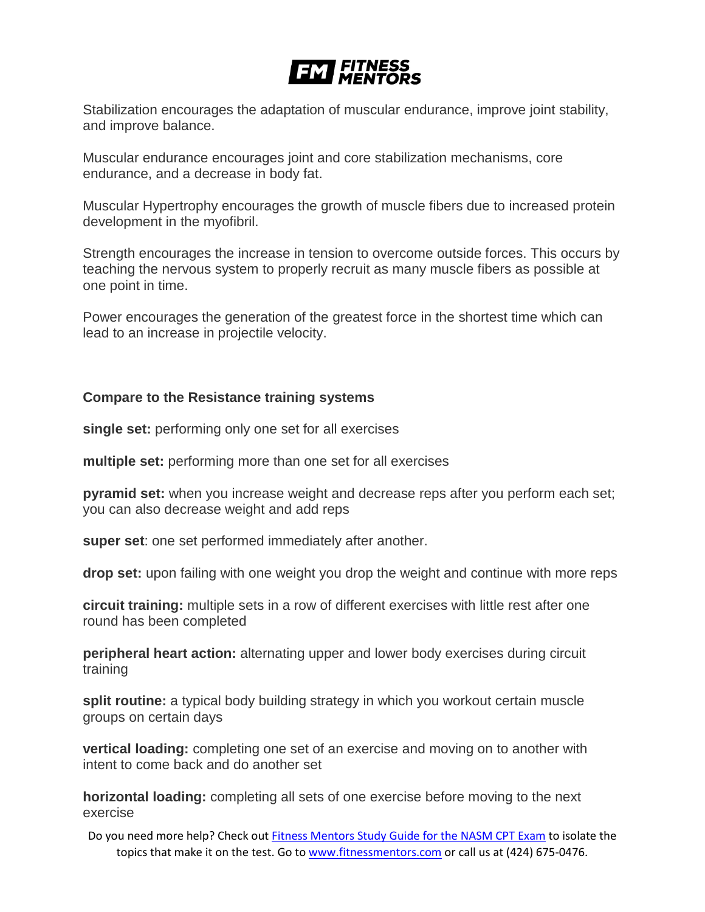# **EM FITNESS**

Stabilization encourages the adaptation of muscular endurance, improve joint stability, and improve balance.

Muscular endurance encourages joint and core stabilization mechanisms, core endurance, and a decrease in body fat.

Muscular Hypertrophy encourages the growth of muscle fibers due to increased protein development in the myofibril.

Strength encourages the increase in tension to overcome outside forces. This occurs by teaching the nervous system to properly recruit as many muscle fibers as possible at one point in time.

Power encourages the generation of the greatest force in the shortest time which can lead to an increase in projectile velocity.

#### **Compare to the Resistance training systems**

**single set:** performing only one set for all exercises

**multiple set:** performing more than one set for all exercises

**pyramid set:** when you increase weight and decrease reps after you perform each set; you can also decrease weight and add reps

**super set**: one set performed immediately after another.

**drop set:** upon failing with one weight you drop the weight and continue with more reps

**circuit training:** multiple sets in a row of different exercises with little rest after one round has been completed

**peripheral heart action:** alternating upper and lower body exercises during circuit training

**split routine:** a typical body building strategy in which you workout certain muscle groups on certain days

**vertical loading:** completing one set of an exercise and moving on to another with intent to come back and do another set

**horizontal loading:** completing all sets of one exercise before moving to the next exercise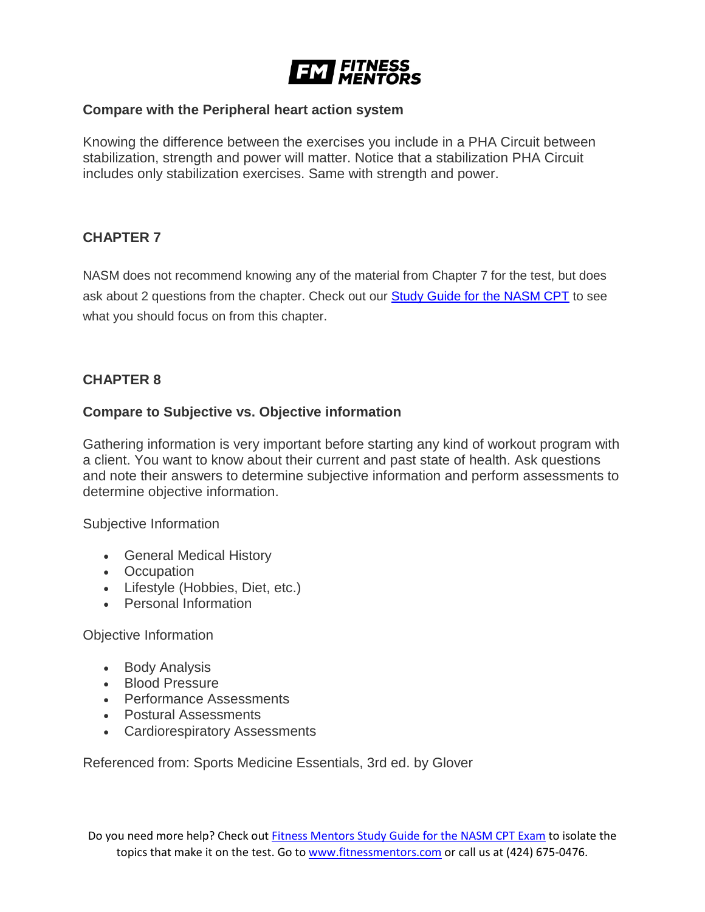

#### **Compare with the Peripheral heart action system**

Knowing the difference between the exercises you include in a PHA Circuit between stabilization, strength and power will matter. Notice that a stabilization PHA Circuit includes only stabilization exercises. Same with strength and power.

# **CHAPTER 7**

NASM does not recommend knowing any of the material from Chapter 7 for the test, but does ask about 2 questions from the chapter. Check out our **[Study Guide for the NASM CPT](https://www.fitnessmentors.com/newsite/nasm-cpt-exam-study-guide/)** to see what you should focus on from this chapter.

# **CHAPTER 8**

#### **Compare to Subjective vs. Objective information**

Gathering information is very important before starting any kind of workout program with a client. You want to know about their current and past state of health. Ask questions and note their answers to determine subjective information and perform assessments to determine objective information.

Subjective Information

- General Medical History
- Occupation
- Lifestyle (Hobbies, Diet, etc.)
- Personal Information

#### Objective Information

- Body Analysis
- Blood Pressure
- Performance Assessments
- Postural Assessments
- Cardiorespiratory Assessments

Referenced from: Sports Medicine Essentials, 3rd ed. by Glover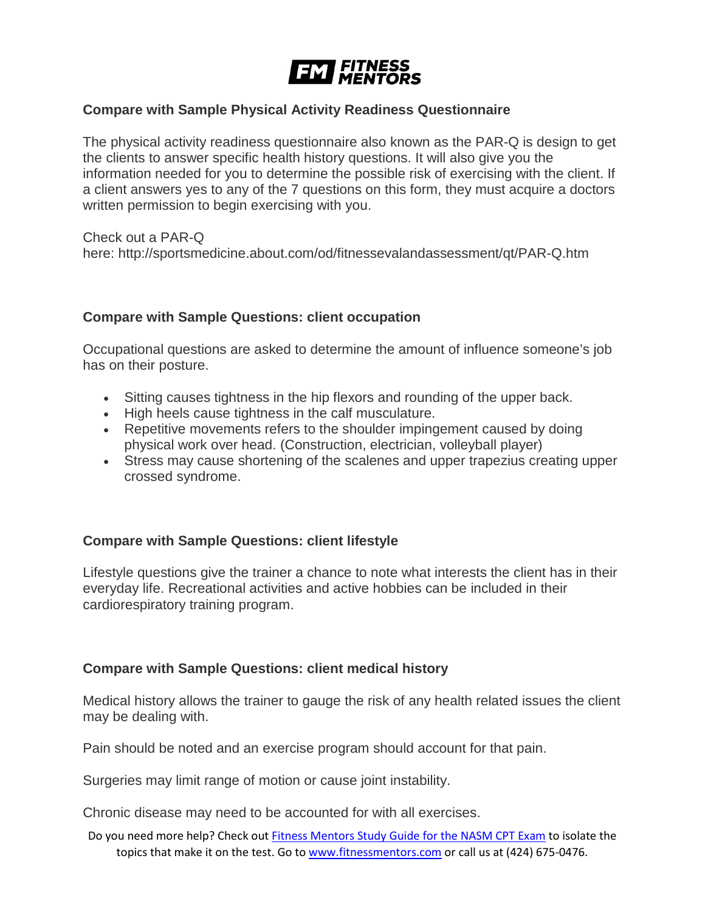

#### **Compare with Sample Physical Activity Readiness Questionnaire**

The physical activity readiness questionnaire also known as the PAR-Q is design to get the clients to answer specific health history questions. It will also give you the information needed for you to determine the possible risk of exercising with the client. If a client answers yes to any of the 7 questions on this form, they must acquire a doctors written permission to begin exercising with you.

Check out a PAR-Q here: http://sportsmedicine.about.com/od/fitnessevalandassessment/qt/PAR-Q.htm

#### **Compare with Sample Questions: client occupation**

Occupational questions are asked to determine the amount of influence someone's job has on their posture.

- Sitting causes tightness in the hip flexors and rounding of the upper back.
- High heels cause tightness in the calf musculature.
- Repetitive movements refers to the shoulder impingement caused by doing physical work over head. (Construction, electrician, volleyball player)
- Stress may cause shortening of the scalenes and upper trapezius creating upper crossed syndrome.

# **Compare with Sample Questions: client lifestyle**

Lifestyle questions give the trainer a chance to note what interests the client has in their everyday life. Recreational activities and active hobbies can be included in their cardiorespiratory training program.

# **Compare with Sample Questions: client medical history**

Medical history allows the trainer to gauge the risk of any health related issues the client may be dealing with.

Pain should be noted and an exercise program should account for that pain.

Surgeries may limit range of motion or cause joint instability.

Chronic disease may need to be accounted for with all exercises.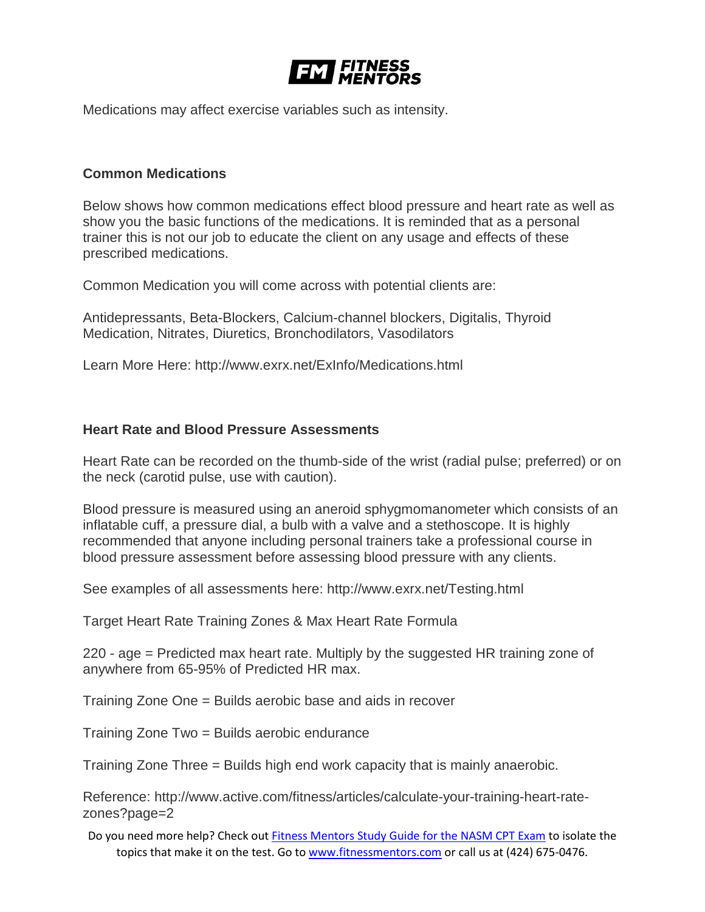

Medications may affect exercise variables such as intensity.

### **Common Medications**

Below shows how common medications effect blood pressure and heart rate as well as show you the basic functions of the medications. It is reminded that as a personal trainer this is not our job to educate the client on any usage and effects of these prescribed medications.

Common Medication you will come across with potential clients are:

Antidepressants, Beta-Blockers, Calcium-channel blockers, Digitalis, Thyroid Medication, Nitrates, Diuretics, Bronchodilators, Vasodilators

Learn More Here: http://www.exrx.net/ExInfo/Medications.html

#### **Heart Rate and Blood Pressure Assessments**

Heart Rate can be recorded on the thumb-side of the wrist (radial pulse; preferred) or on the neck (carotid pulse, use with caution).

Blood pressure is measured using an aneroid sphygmomanometer which consists of an inflatable cuff, a pressure dial, a bulb with a valve and a stethoscope. It is highly recommended that anyone including personal trainers take a professional course in blood pressure assessment before assessing blood pressure with any clients.

See examples of all assessments here: http://www.exrx.net/Testing.html

Target Heart Rate Training Zones & Max Heart Rate Formula

220 - age = Predicted max heart rate. Multiply by the suggested HR training zone of anywhere from 65-95% of Predicted HR max.

Training Zone One = Builds aerobic base and aids in recover

Training Zone Two = Builds aerobic endurance

Training Zone Three = Builds high end work capacity that is mainly anaerobic.

Reference: http://www.active.com/fitness/articles/calculate-your-training-heart-ratezones?page=2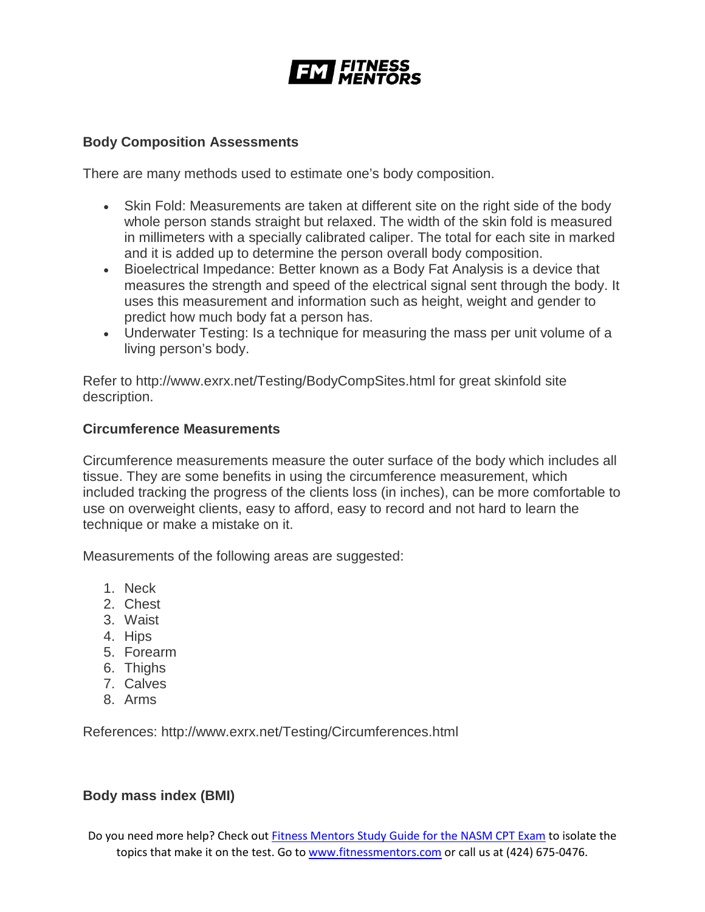

#### **Body Composition Assessments**

There are many methods used to estimate one's body composition.

- Skin Fold: Measurements are taken at different site on the right side of the body whole person stands straight but relaxed. The width of the skin fold is measured in millimeters with a specially calibrated caliper. The total for each site in marked and it is added up to determine the person overall body composition.
- Bioelectrical Impedance: Better known as a Body Fat Analysis is a device that measures the strength and speed of the electrical signal sent through the body. It uses this measurement and information such as height, weight and gender to predict how much body fat a person has.
- Underwater Testing: Is a technique for measuring the mass per unit volume of a living person's body.

Refer to http://www.exrx.net/Testing/BodyCompSites.html for great skinfold site description.

#### **Circumference Measurements**

Circumference measurements measure the outer surface of the body which includes all tissue. They are some benefits in using the circumference measurement, which included tracking the progress of the clients loss (in inches), can be more comfortable to use on overweight clients, easy to afford, easy to record and not hard to learn the technique or make a mistake on it.

Measurements of the following areas are suggested:

- 1. Neck
- 2. Chest
- 3. Waist
- 4. Hips
- 5. Forearm
- 6. Thighs
- 7. Calves
- 8. Arms

References: http://www.exrx.net/Testing/Circumferences.html

#### **Body mass index (BMI)**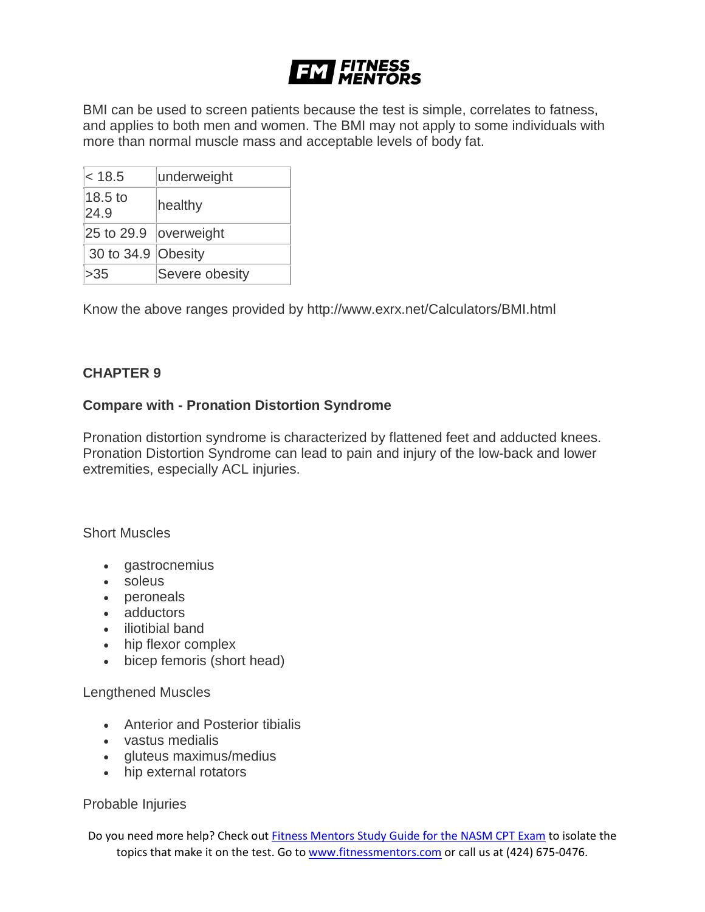# **EM FITNESS**

BMI can be used to screen patients because the test is simple, correlates to fatness, and applies to both men and women. The BMI may not apply to some individuals with more than normal muscle mass and acceptable levels of body fat.

| < 18.5                | underweight    |
|-----------------------|----------------|
| 18.5 to<br>24.9       | healthy        |
| 25 to 29.9 overweight |                |
| 30 to 34.9 Obesity    |                |
| >35                   | Severe obesity |

Know the above ranges provided by http://www.exrx.net/Calculators/BMI.html

# **CHAPTER 9**

#### **Compare with - Pronation Distortion Syndrome**

Pronation distortion syndrome is characterized by flattened feet and adducted knees. Pronation Distortion Syndrome can lead to pain and injury of the low-back and lower extremities, especially ACL injuries.

Short Muscles

- gastrocnemius
- soleus
- peroneals
- adductors
- iliotibial band
- hip flexor complex
- bicep femoris (short head)

#### Lengthened Muscles

- Anterior and Posterior tibialis
- vastus medialis
- gluteus maximus/medius
- hip external rotators

#### Probable Injuries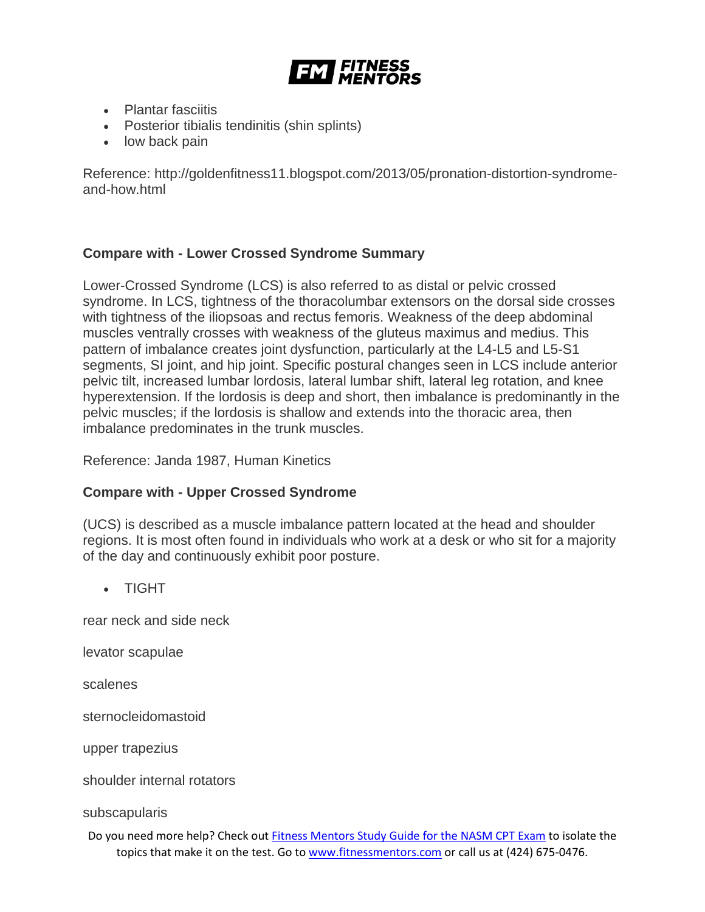

- Plantar fasciitis
- Posterior tibialis tendinitis (shin splints)
- low back pain

Reference: http://goldenfitness11.blogspot.com/2013/05/pronation-distortion-syndromeand-how.html

#### **Compare with - Lower Crossed Syndrome Summary**

Lower-Crossed Syndrome (LCS) is also referred to as distal or pelvic crossed syndrome. In LCS, tightness of the thoracolumbar extensors on the dorsal side crosses with tightness of the iliopsoas and rectus femoris. Weakness of the deep abdominal muscles ventrally crosses with weakness of the gluteus maximus and medius. This pattern of imbalance creates joint dysfunction, particularly at the L4-L5 and L5-S1 segments, SI joint, and hip joint. Specific postural changes seen in LCS include anterior pelvic tilt, increased lumbar lordosis, lateral lumbar shift, lateral leg rotation, and knee hyperextension. If the lordosis is deep and short, then imbalance is predominantly in the pelvic muscles; if the lordosis is shallow and extends into the thoracic area, then imbalance predominates in the trunk muscles.

Reference: Janda 1987, Human Kinetics

#### **Compare with - Upper Crossed Syndrome**

(UCS) is described as a muscle imbalance pattern located at the head and shoulder regions. It is most often found in individuals who work at a desk or who sit for a majority of the day and continuously exhibit poor posture.

• TIGHT

rear neck and side neck

levator scapulae

scalenes

sternocleidomastoid

upper trapezius

shoulder internal rotators

subscapularis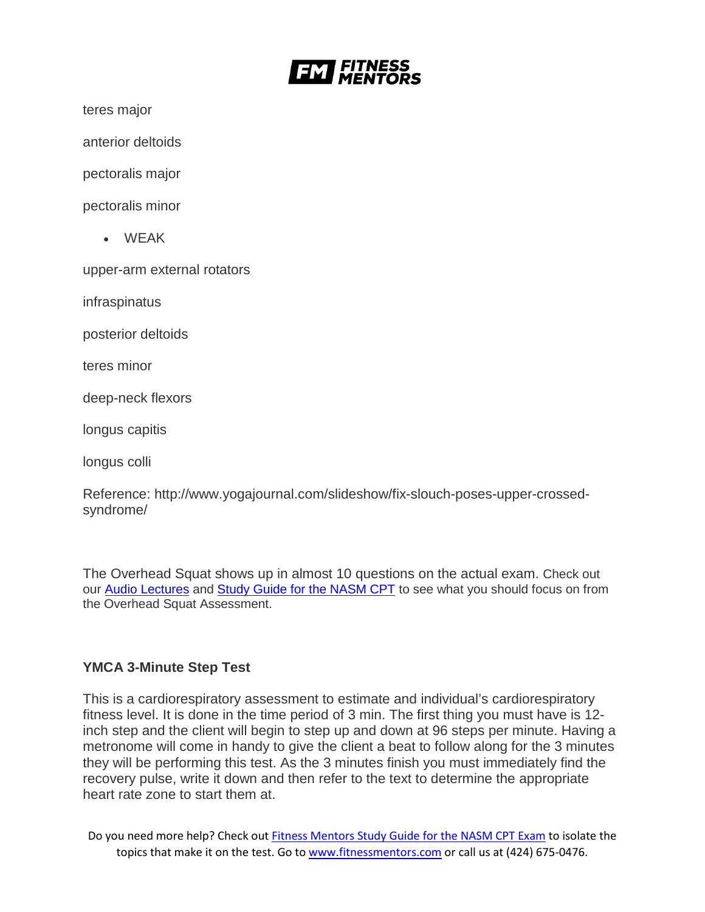

teres major

anterior deltoids

pectoralis major

pectoralis minor

• WEAK

upper-arm external rotators

infraspinatus

posterior deltoids

teres minor

deep-neck flexors

longus capitis

longus colli

Reference: http://www.yogajournal.com/slideshow/fix-slouch-poses-upper-crossedsyndrome/

The Overhead Squat shows up in almost 10 questions on the actual exam. Check out our [Audio Lectures](https://www.fitnessmentors.com/nasm-cpt-exam-audio-lectures/) and [Study Guide for the NASM CPT](https://www.fitnessmentors.com/newsite/nasm-cpt-exam-study-guide/) to see what you should focus on from the Overhead Squat Assessment.

#### **YMCA 3-Minute Step Test**

This is a cardiorespiratory assessment to estimate and individual's cardiorespiratory fitness level. It is done in the time period of 3 min. The first thing you must have is 12 inch step and the client will begin to step up and down at 96 steps per minute. Having a metronome will come in handy to give the client a beat to follow along for the 3 minutes they will be performing this test. As the 3 minutes finish you must immediately find the recovery pulse, write it down and then refer to the text to determine the appropriate heart rate zone to start them at.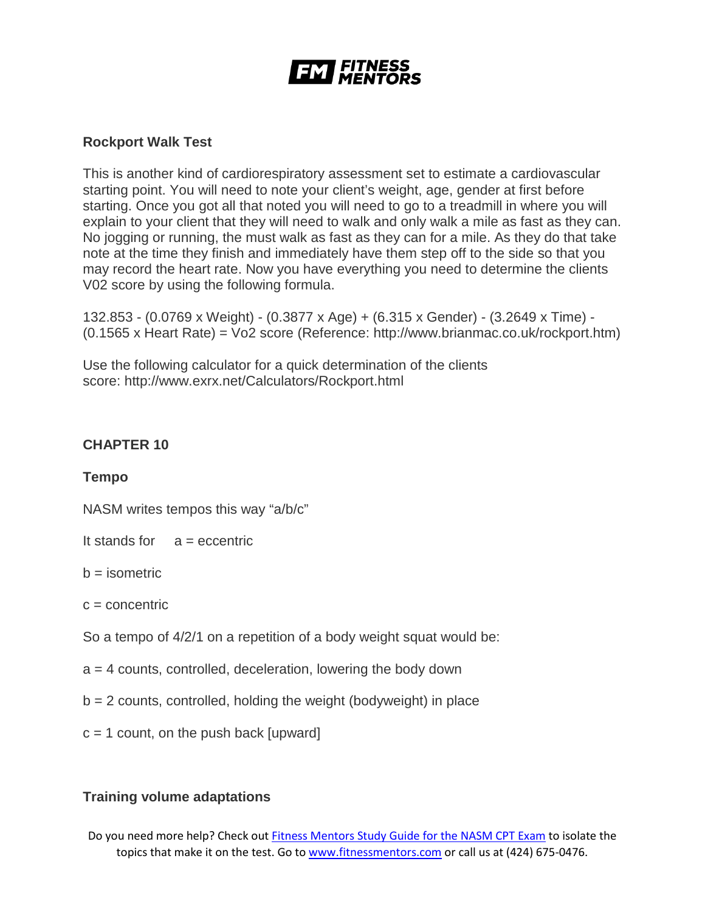

# **Rockport Walk Test**

This is another kind of cardiorespiratory assessment set to estimate a cardiovascular starting point. You will need to note your client's weight, age, gender at first before starting. Once you got all that noted you will need to go to a treadmill in where you will explain to your client that they will need to walk and only walk a mile as fast as they can. No jogging or running, the must walk as fast as they can for a mile. As they do that take note at the time they finish and immediately have them step off to the side so that you may record the heart rate. Now you have everything you need to determine the clients V02 score by using the following formula.

132.853 - (0.0769 x Weight) - (0.3877 x Age) + (6.315 x Gender) - (3.2649 x Time) - (0.1565 x Heart Rate) = Vo2 score (Reference: http://www.brianmac.co.uk/rockport.htm)

Use the following calculator for a quick determination of the clients score: http://www.exrx.net/Calculators/Rockport.html

# **CHAPTER 10**

#### **Tempo**

NASM writes tempos this way "a/b/c"

It stands for  $a =$  eccentric

 $b =$  isometric

 $c =$  concentric

So a tempo of 4/2/1 on a repetition of a body weight squat would be:

- $a = 4$  counts, controlled, deceleration, lowering the body down
- $b = 2$  counts, controlled, holding the weight (bodyweight) in place
- $c = 1$  count, on the push back [upward]

# **Training volume adaptations**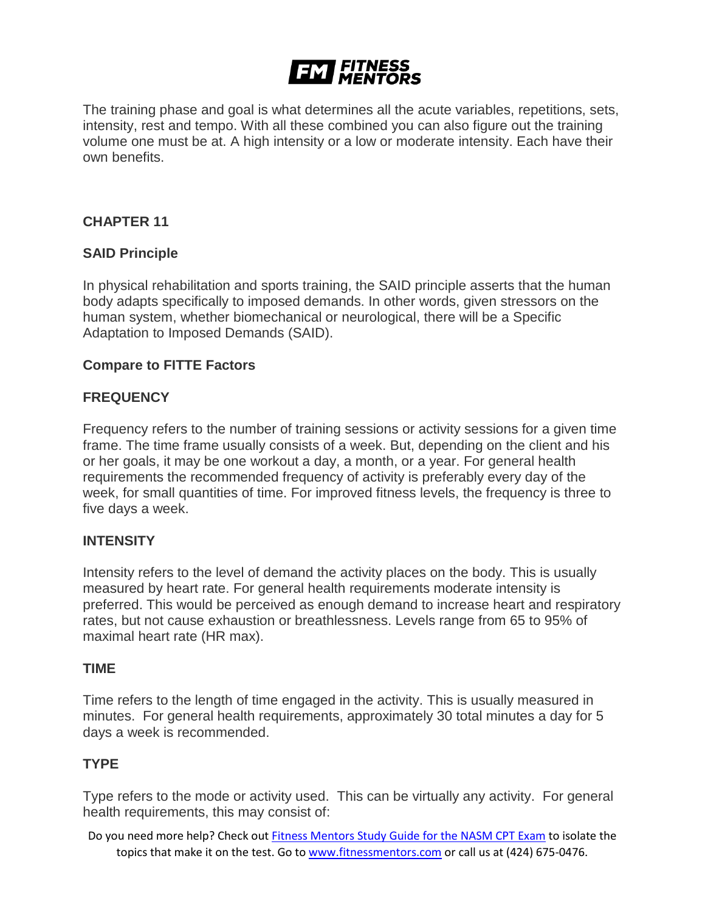# **EM FITNESS**

The training phase and goal is what determines all the acute variables, repetitions, sets, intensity, rest and tempo. With all these combined you can also figure out the training volume one must be at. A high intensity or a low or moderate intensity. Each have their own benefits.

# **CHAPTER 11**

# **SAID Principle**

In physical rehabilitation and sports training, the SAID principle asserts that the human body adapts specifically to imposed demands. In other words, given stressors on the human system, whether biomechanical or neurological, there will be a Specific Adaptation to Imposed Demands (SAID).

#### **Compare to FITTE Factors**

#### **FREQUENCY**

Frequency refers to the number of training sessions or activity sessions for a given time frame. The time frame usually consists of a week. But, depending on the client and his or her goals, it may be one workout a day, a month, or a year. For general health requirements the recommended frequency of activity is preferably every day of the week, for small quantities of time. For improved fitness levels, the frequency is three to five days a week.

#### **INTENSITY**

Intensity refers to the level of demand the activity places on the body. This is usually measured by heart rate. For general health requirements moderate intensity is preferred. This would be perceived as enough demand to increase heart and respiratory rates, but not cause exhaustion or breathlessness. Levels range from 65 to 95% of maximal heart rate (HR max).

#### **TIME**

Time refers to the length of time engaged in the activity. This is usually measured in minutes. For general health requirements, approximately 30 total minutes a day for 5 days a week is recommended.

#### **TYPE**

Type refers to the mode or activity used. This can be virtually any activity. For general health requirements, this may consist of: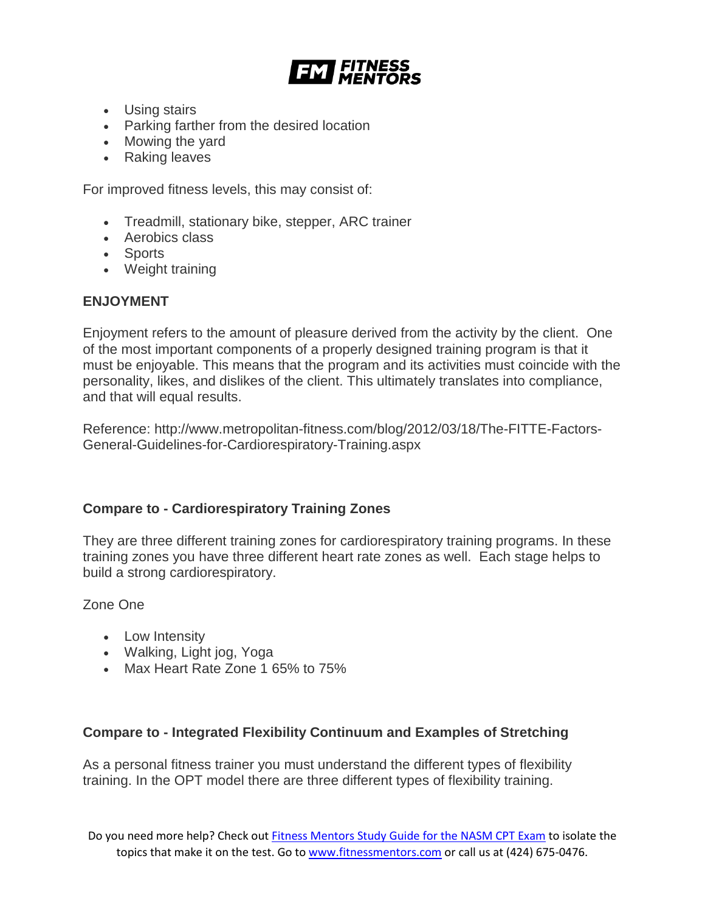

- Using stairs
- Parking farther from the desired location
- Mowing the yard
- Raking leaves

For improved fitness levels, this may consist of:

- Treadmill, stationary bike, stepper, ARC trainer
- Aerobics class
- Sports
- Weight training

# **ENJOYMENT**

Enjoyment refers to the amount of pleasure derived from the activity by the client. One of the most important components of a properly designed training program is that it must be enjoyable. This means that the program and its activities must coincide with the personality, likes, and dislikes of the client. This ultimately translates into compliance, and that will equal results.

Reference: http://www.metropolitan-fitness.com/blog/2012/03/18/The-FITTE-Factors-General-Guidelines-for-Cardiorespiratory-Training.aspx

# **Compare to - Cardiorespiratory Training Zones**

They are three different training zones for cardiorespiratory training programs. In these training zones you have three different heart rate zones as well. Each stage helps to build a strong cardiorespiratory.

Zone One

- Low Intensity
- Walking, Light jog, Yoga
- Max Heart Rate Zone 1 65% to 75%

#### **Compare to - Integrated Flexibility Continuum and Examples of Stretching**

As a personal fitness trainer you must understand the different types of flexibility training. In the OPT model there are three different types of flexibility training.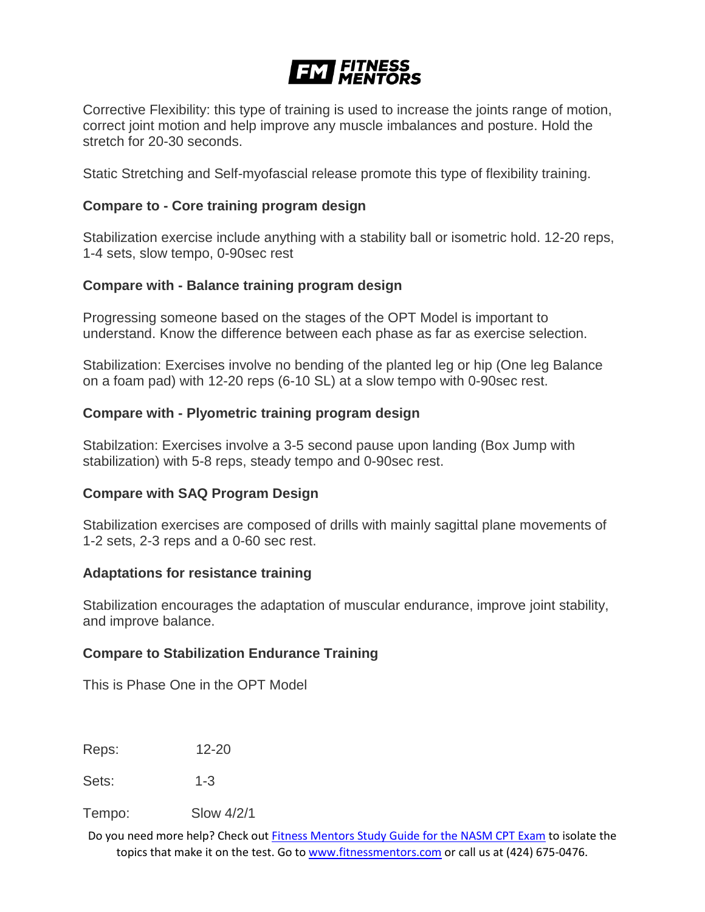# **EXT FITNESS**

Corrective Flexibility: this type of training is used to increase the joints range of motion, correct joint motion and help improve any muscle imbalances and posture. Hold the stretch for 20-30 seconds.

Static Stretching and Self-myofascial release promote this type of flexibility training.

# **Compare to - Core training program design**

Stabilization exercise include anything with a stability ball or isometric hold. 12-20 reps, 1-4 sets, slow tempo, 0-90sec rest

# **Compare with - Balance training program design**

Progressing someone based on the stages of the OPT Model is important to understand. Know the difference between each phase as far as exercise selection.

Stabilization: Exercises involve no bending of the planted leg or hip (One leg Balance on a foam pad) with 12-20 reps (6-10 SL) at a slow tempo with 0-90sec rest.

# **Compare with - Plyometric training program design**

Stabilzation: Exercises involve a 3-5 second pause upon landing (Box Jump with stabilization) with 5-8 reps, steady tempo and 0-90sec rest.

#### **Compare with SAQ Program Design**

Stabilization exercises are composed of drills with mainly sagittal plane movements of 1-2 sets, 2-3 reps and a 0-60 sec rest.

#### **Adaptations for resistance training**

Stabilization encourages the adaptation of muscular endurance, improve joint stability, and improve balance.

#### **Compare to Stabilization Endurance Training**

This is Phase One in the OPT Model

Reps: 12-20

Sets: 1-3

Tempo: Slow 4/2/1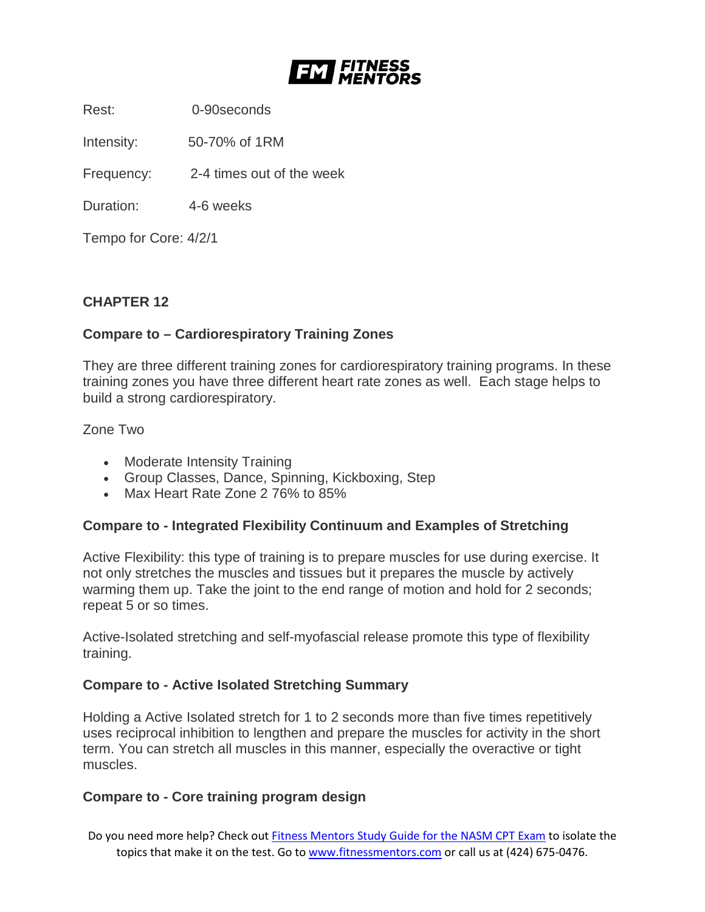

Rest: 0-90seconds

Intensity: 50-70% of 1RM

Frequency: 2-4 times out of the week

Duration: 4-6 weeks

Tempo for Core: 4/2/1

# **CHAPTER 12**

# **Compare to – Cardiorespiratory Training Zones**

They are three different training zones for cardiorespiratory training programs. In these training zones you have three different heart rate zones as well. Each stage helps to build a strong cardiorespiratory.

Zone Two

- Moderate Intensity Training
- Group Classes, Dance, Spinning, Kickboxing, Step
- Max Heart Rate Zone 2 76% to 85%

#### **Compare to - Integrated Flexibility Continuum and Examples of Stretching**

Active Flexibility: this type of training is to prepare muscles for use during exercise. It not only stretches the muscles and tissues but it prepares the muscle by actively warming them up. Take the joint to the end range of motion and hold for 2 seconds; repeat 5 or so times.

Active-Isolated stretching and self-myofascial release promote this type of flexibility training.

#### **Compare to - Active Isolated Stretching Summary**

Holding a Active Isolated stretch for 1 to 2 seconds more than five times repetitively uses reciprocal inhibition to lengthen and prepare the muscles for activity in the short term. You can stretch all muscles in this manner, especially the overactive or tight muscles.

#### **Compare to - Core training program design**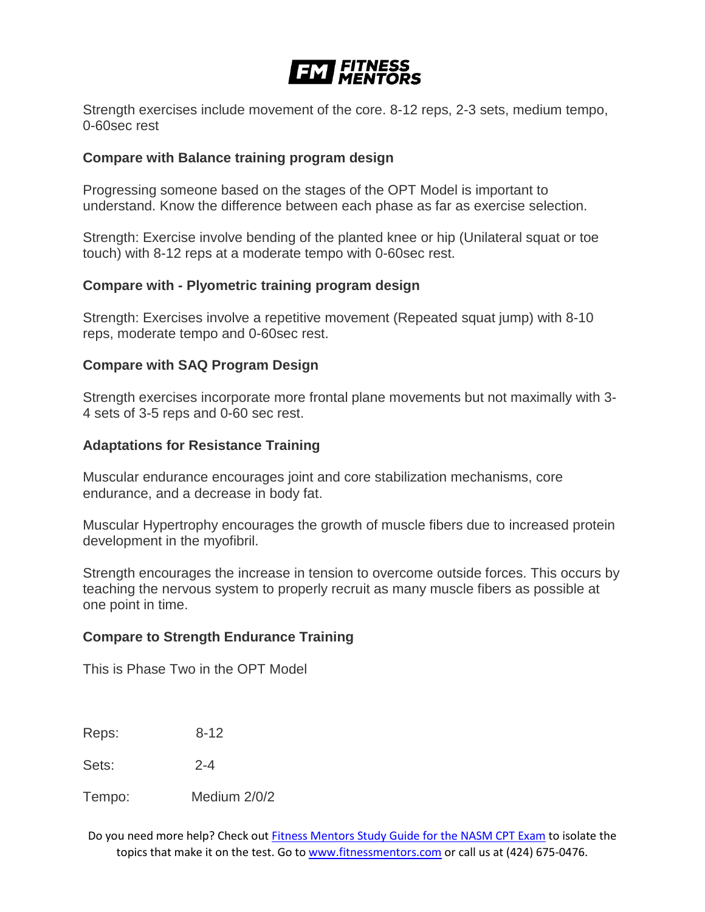# **EM FITNESS**

Strength exercises include movement of the core. 8-12 reps, 2-3 sets, medium tempo, 0-60sec rest

#### **Compare with Balance training program design**

Progressing someone based on the stages of the OPT Model is important to understand. Know the difference between each phase as far as exercise selection.

Strength: Exercise involve bending of the planted knee or hip (Unilateral squat or toe touch) with 8-12 reps at a moderate tempo with 0-60sec rest.

# **Compare with - Plyometric training program design**

Strength: Exercises involve a repetitive movement (Repeated squat jump) with 8-10 reps, moderate tempo and 0-60sec rest.

# **Compare with SAQ Program Design**

Strength exercises incorporate more frontal plane movements but not maximally with 3- 4 sets of 3-5 reps and 0-60 sec rest.

# **Adaptations for Resistance Training**

Muscular endurance encourages joint and core stabilization mechanisms, core endurance, and a decrease in body fat.

Muscular Hypertrophy encourages the growth of muscle fibers due to increased protein development in the myofibril.

Strength encourages the increase in tension to overcome outside forces. This occurs by teaching the nervous system to properly recruit as many muscle fibers as possible at one point in time.

#### **Compare to Strength Endurance Training**

This is Phase Two in the OPT Model

Reps: 8-12

Sets: 2-4

Tempo: Medium 2/0/2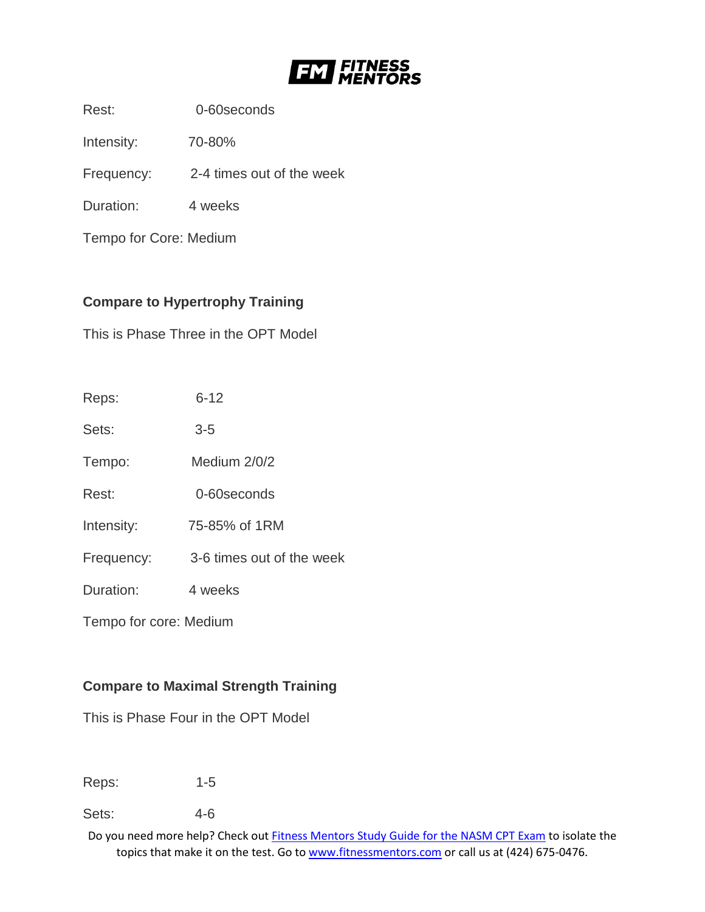

Rest: 0-60seconds

Intensity: 70-80%

Frequency: 2-4 times out of the week

Duration: 4 weeks

Tempo for Core: Medium

# **Compare to Hypertrophy Training**

This is Phase Three in the OPT Model

| Reps:                  | $6 - 12$                  |
|------------------------|---------------------------|
| Sets:                  | $3-5$                     |
| Tempo:                 | Medium 2/0/2              |
| Rest:                  | 0-60 seconds              |
| Intensity:             | 75-85% of 1RM             |
| Frequency:             | 3-6 times out of the week |
| Duration:              | 4 weeks                   |
| Tempo for core: Medium |                           |

# **Compare to Maximal Strength Training**

This is Phase Four in the OPT Model

Reps: 1-5

Sets: 4-6

Do you need more help? Check out [Fitness Mentors Study Guide for the NASM CPT Exam](https://www.fitnessmentors.com/nasm-cpt-exam-study-guide/) to isolate the topics that make it on the test. Go to [www.fitnessmentors.com](http://www.fitnessmentors.com/) or call us at (424) 675-0476.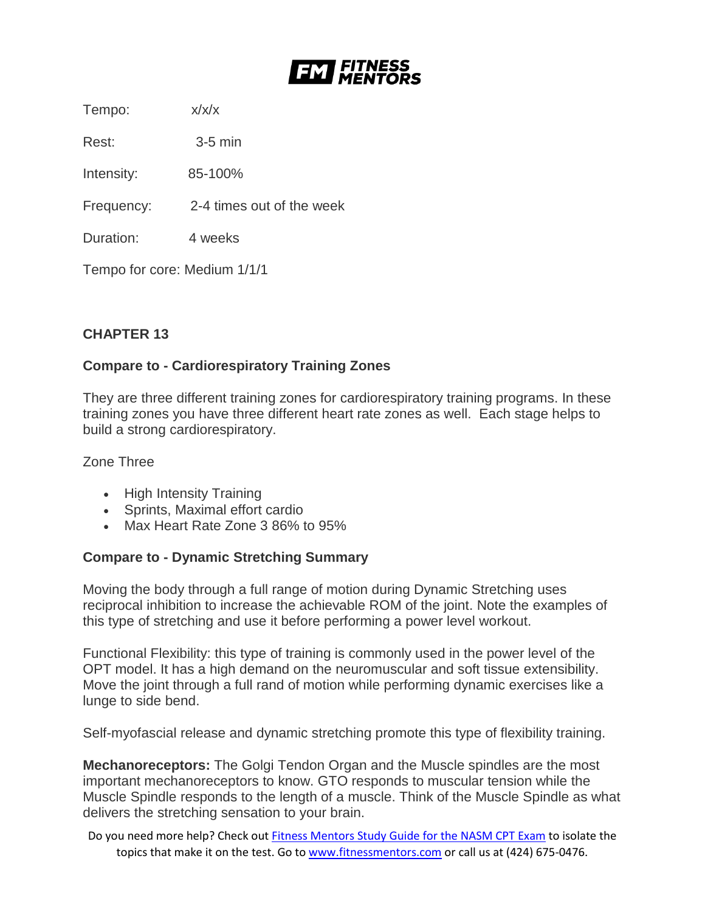

Tempo: x/x/x

Rest: 3-5 min

Intensity: 85-100%

Frequency: 2-4 times out of the week

Duration: 4 weeks

Tempo for core: Medium 1/1/1

# **CHAPTER 13**

# **Compare to - Cardiorespiratory Training Zones**

They are three different training zones for cardiorespiratory training programs. In these training zones you have three different heart rate zones as well. Each stage helps to build a strong cardiorespiratory.

Zone Three

- High Intensity Training
- Sprints, Maximal effort cardio
- Max Heart Rate Zone 3 86% to 95%

# **Compare to - Dynamic Stretching Summary**

Moving the body through a full range of motion during Dynamic Stretching uses reciprocal inhibition to increase the achievable ROM of the joint. Note the examples of this type of stretching and use it before performing a power level workout.

Functional Flexibility: this type of training is commonly used in the power level of the OPT model. It has a high demand on the neuromuscular and soft tissue extensibility. Move the joint through a full rand of motion while performing dynamic exercises like a lunge to side bend.

Self-myofascial release and dynamic stretching promote this type of flexibility training.

**Mechanoreceptors:** The Golgi Tendon Organ and the Muscle spindles are the most important mechanoreceptors to know. GTO responds to muscular tension while the Muscle Spindle responds to the length of a muscle. Think of the Muscle Spindle as what delivers the stretching sensation to your brain.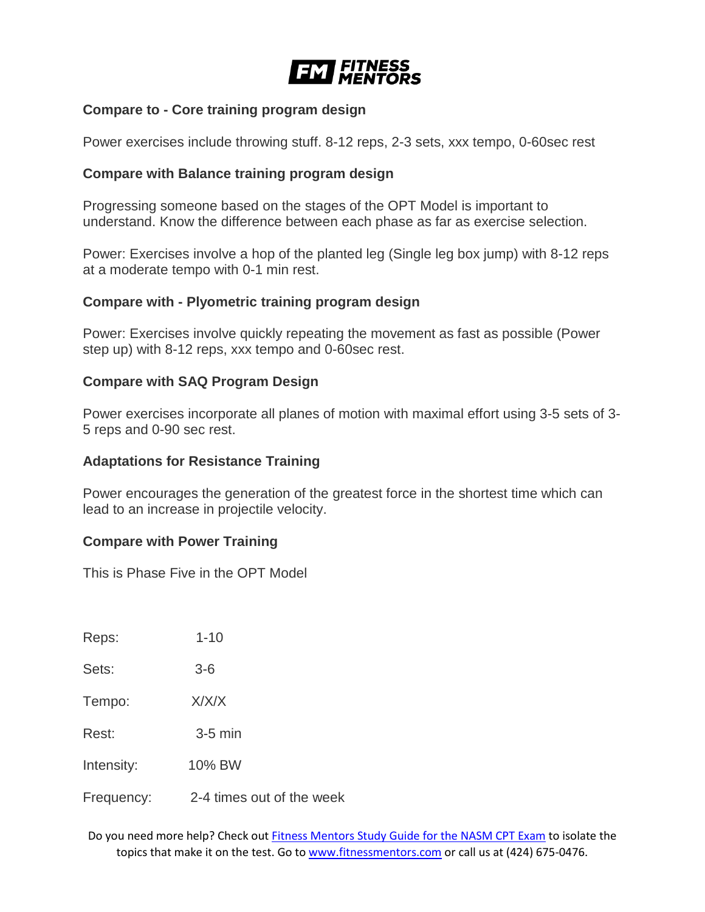

#### **Compare to - Core training program design**

Power exercises include throwing stuff. 8-12 reps, 2-3 sets, xxx tempo, 0-60sec rest

#### **Compare with Balance training program design**

Progressing someone based on the stages of the OPT Model is important to understand. Know the difference between each phase as far as exercise selection.

Power: Exercises involve a hop of the planted leg (Single leg box jump) with 8-12 reps at a moderate tempo with 0-1 min rest.

#### **Compare with - Plyometric training program design**

Power: Exercises involve quickly repeating the movement as fast as possible (Power step up) with 8-12 reps, xxx tempo and 0-60sec rest.

#### **Compare with SAQ Program Design**

Power exercises incorporate all planes of motion with maximal effort using 3-5 sets of 3- 5 reps and 0-90 sec rest.

#### **Adaptations for Resistance Training**

Power encourages the generation of the greatest force in the shortest time which can lead to an increase in projectile velocity.

#### **Compare with Power Training**

This is Phase Five in the OPT Model

Reps: 1-10 Sets: 3-6 Tempo: X/X/X Rest: 3-5 min Intensity: 10% BW Frequency: 2-4 times out of the week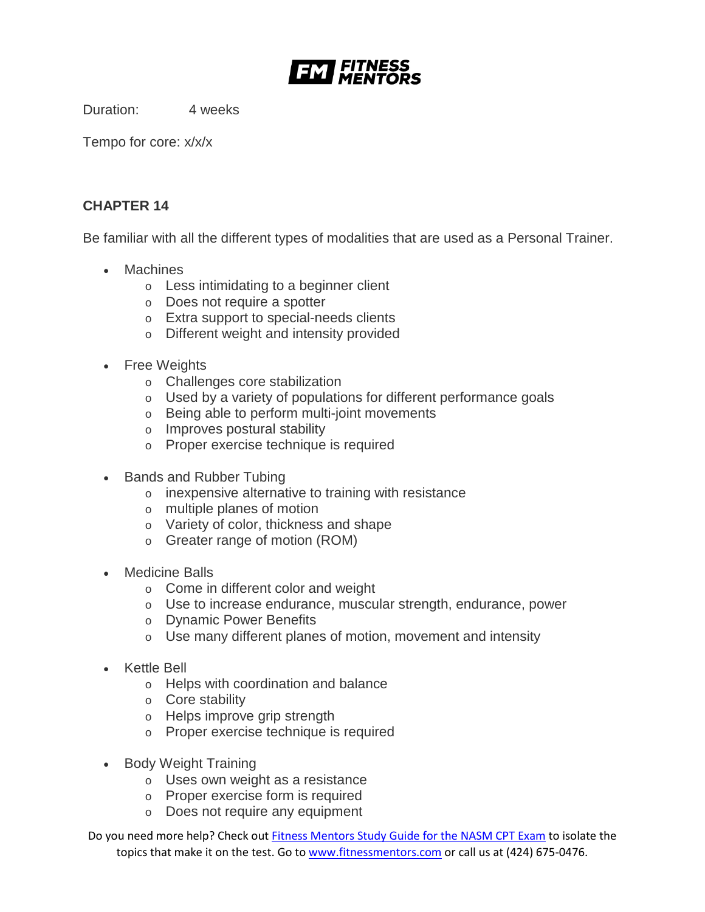

Duration: 4 weeks

Tempo for core: x/x/x

# **CHAPTER 14**

Be familiar with all the different types of modalities that are used as a Personal Trainer.

- Machines
	- o Less intimidating to a beginner client
	- o Does not require a spotter
	- o Extra support to special-needs clients
	- o Different weight and intensity provided
- Free Weights
	- o Challenges core stabilization
	- o Used by a variety of populations for different performance goals
	- o Being able to perform multi-joint movements
	- o Improves postural stability
	- o Proper exercise technique is required
- Bands and Rubber Tubing
	- o inexpensive alternative to training with resistance
	- o multiple planes of motion
	- o Variety of color, thickness and shape
	- o Greater range of motion (ROM)
- Medicine Balls
	- o Come in different color and weight
	- o Use to increase endurance, muscular strength, endurance, power
	- o Dynamic Power Benefits
	- o Use many different planes of motion, movement and intensity
- Kettle Bell
	- o Helps with coordination and balance
	- o Core stability
	- o Helps improve grip strength
	- o Proper exercise technique is required
- Body Weight Training
	- o Uses own weight as a resistance
	- o Proper exercise form is required
	- o Does not require any equipment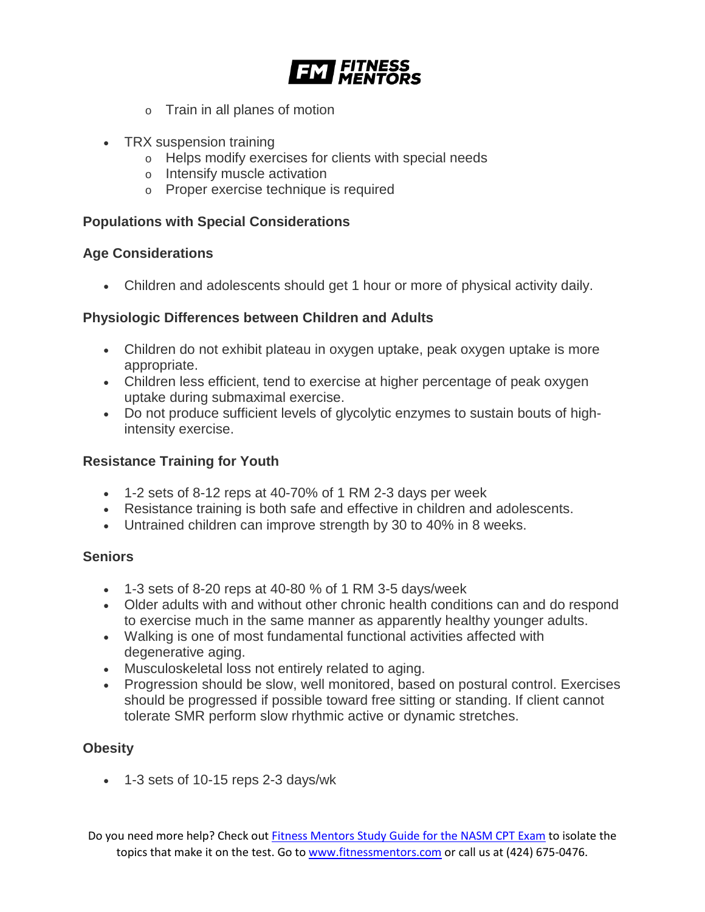

- o Train in all planes of motion
- TRX suspension training
	- o Helps modify exercises for clients with special needs
	- o Intensify muscle activation
	- o Proper exercise technique is required

# **Populations with Special Considerations**

#### **Age Considerations**

• Children and adolescents should get 1 hour or more of physical activity daily.

# **Physiologic Differences between Children and Adults**

- Children do not exhibit plateau in oxygen uptake, peak oxygen uptake is more appropriate.
- Children less efficient, tend to exercise at higher percentage of peak oxygen uptake during submaximal exercise.
- Do not produce sufficient levels of glycolytic enzymes to sustain bouts of highintensity exercise.

# **Resistance Training for Youth**

- 1-2 sets of 8-12 reps at 40-70% of 1 RM 2-3 days per week
- Resistance training is both safe and effective in children and adolescents.
- Untrained children can improve strength by 30 to 40% in 8 weeks.

#### **Seniors**

- $\bullet$  1-3 sets of 8-20 reps at 40-80 % of 1 RM 3-5 days/week
- Older adults with and without other chronic health conditions can and do respond to exercise much in the same manner as apparently healthy younger adults.
- Walking is one of most fundamental functional activities affected with degenerative aging.
- Musculoskeletal loss not entirely related to aging.
- Progression should be slow, well monitored, based on postural control. Exercises should be progressed if possible toward free sitting or standing. If client cannot tolerate SMR perform slow rhythmic active or dynamic stretches.

# **Obesity**

• 1-3 sets of 10-15 reps 2-3 days/wk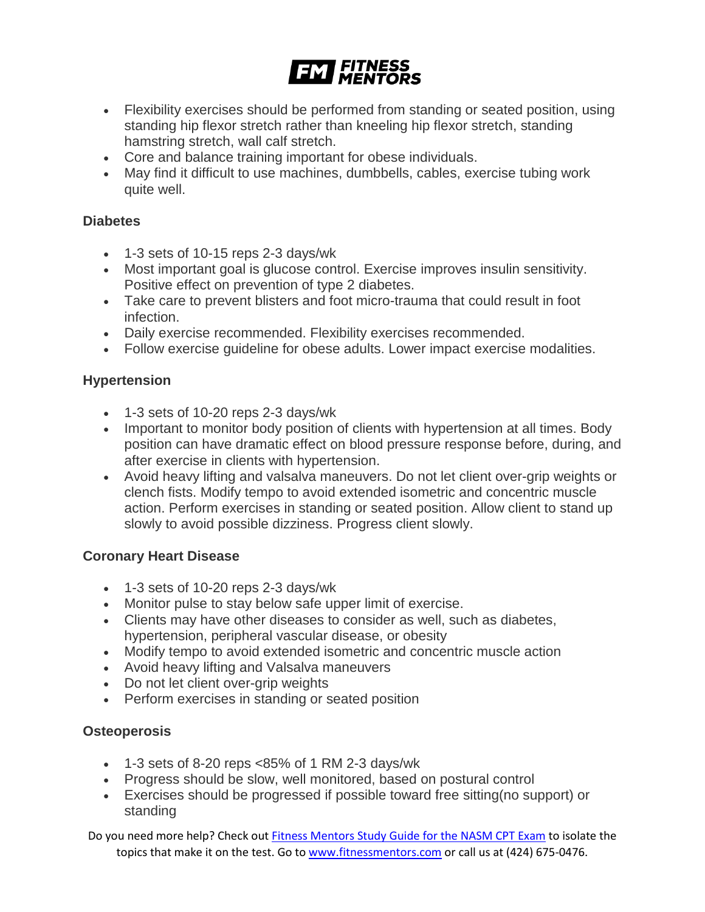

- Flexibility exercises should be performed from standing or seated position, using standing hip flexor stretch rather than kneeling hip flexor stretch, standing hamstring stretch, wall calf stretch.
- Core and balance training important for obese individuals.
- May find it difficult to use machines, dumbbells, cables, exercise tubing work quite well.

# **Diabetes**

- 1-3 sets of 10-15 reps 2-3 days/wk
- Most important goal is glucose control. Exercise improves insulin sensitivity. Positive effect on prevention of type 2 diabetes.
- Take care to prevent blisters and foot micro-trauma that could result in foot infection.
- Daily exercise recommended. Flexibility exercises recommended.
- Follow exercise guideline for obese adults. Lower impact exercise modalities.

# **Hypertension**

- 1-3 sets of 10-20 reps 2-3 days/wk
- Important to monitor body position of clients with hypertension at all times. Body position can have dramatic effect on blood pressure response before, during, and after exercise in clients with hypertension.
- Avoid heavy lifting and valsalva maneuvers. Do not let client over-grip weights or clench fists. Modify tempo to avoid extended isometric and concentric muscle action. Perform exercises in standing or seated position. Allow client to stand up slowly to avoid possible dizziness. Progress client slowly.

# **Coronary Heart Disease**

- 1-3 sets of 10-20 reps 2-3 days/wk
- Monitor pulse to stay below safe upper limit of exercise.
- Clients may have other diseases to consider as well, such as diabetes, hypertension, peripheral vascular disease, or obesity
- Modify tempo to avoid extended isometric and concentric muscle action
- Avoid heavy lifting and Valsalva maneuvers
- Do not let client over-grip weights
- Perform exercises in standing or seated position

#### **Osteoperosis**

- $\bullet$  1-3 sets of 8-20 reps <85% of 1 RM 2-3 days/wk
- Progress should be slow, well monitored, based on postural control
- Exercises should be progressed if possible toward free sitting(no support) or standing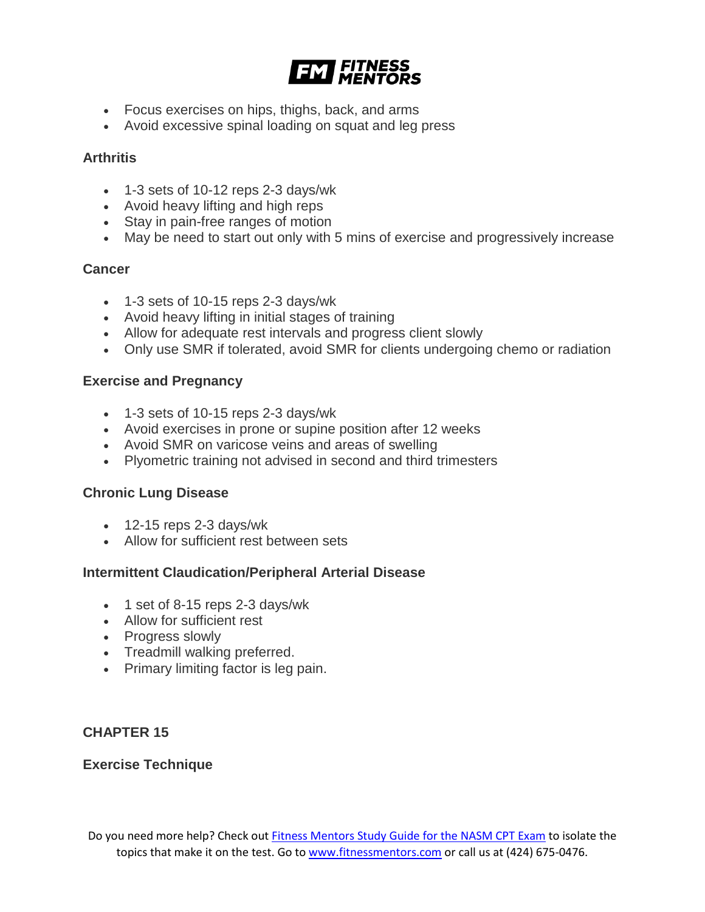

- Focus exercises on hips, thighs, back, and arms
- Avoid excessive spinal loading on squat and leg press

# **Arthritis**

- 1-3 sets of 10-12 reps 2-3 days/wk
- Avoid heavy lifting and high reps
- Stay in pain-free ranges of motion
- May be need to start out only with 5 mins of exercise and progressively increase

# **Cancer**

- 1-3 sets of 10-15 reps 2-3 days/wk
- Avoid heavy lifting in initial stages of training
- Allow for adequate rest intervals and progress client slowly
- Only use SMR if tolerated, avoid SMR for clients undergoing chemo or radiation

#### **Exercise and Pregnancy**

- 1-3 sets of 10-15 reps 2-3 days/wk
- Avoid exercises in prone or supine position after 12 weeks
- Avoid SMR on varicose veins and areas of swelling
- Plyometric training not advised in second and third trimesters

#### **Chronic Lung Disease**

- $\bullet$  12-15 reps 2-3 days/wk
- Allow for sufficient rest between sets

#### **Intermittent Claudication/Peripheral Arterial Disease**

- 1 set of 8-15 reps 2-3 days/wk
- Allow for sufficient rest
- Progress slowly
- Treadmill walking preferred.
- Primary limiting factor is leg pain.

# **CHAPTER 15**

#### **Exercise Technique**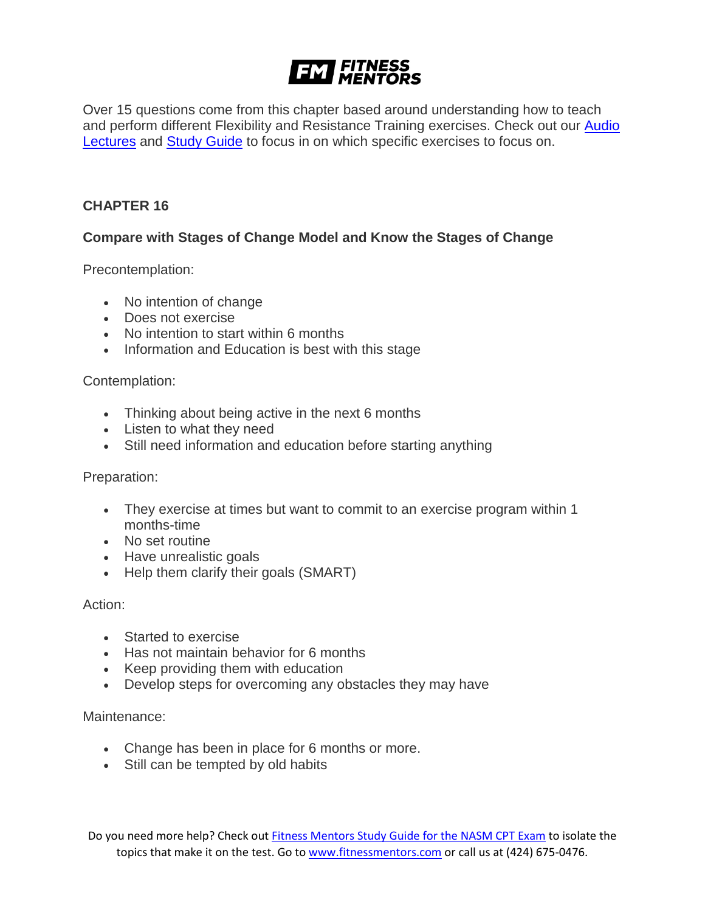# **FINE FITNESS**

Over 15 questions come from this chapter based around understanding how to teach and perform different Flexibility and Resistance Training exercises. Check out our **Audio** [Lectures](https://www.fitnessmentors.com/nasm-cpt-exam-audio-lectures/) and [Study Guide](https://www.fitnessmentors.com/nasm-cpt-exam-study-guide/) to focus in on which specific exercises to focus on.

# **CHAPTER 16**

# **Compare with Stages of Change Model and Know the Stages of Change**

Precontemplation:

- No intention of change
- Does not exercise
- No intention to start within 6 months
- Information and Education is best with this stage

#### Contemplation:

- Thinking about being active in the next 6 months
- Listen to what they need
- Still need information and education before starting anything

#### Preparation:

- They exercise at times but want to commit to an exercise program within 1 months-time
- No set routine
- Have unrealistic goals
- Help them clarify their goals (SMART)

Action:

- Started to exercise
- Has not maintain behavior for 6 months
- Keep providing them with education
- Develop steps for overcoming any obstacles they may have

#### Maintenance:

- Change has been in place for 6 months or more.
- Still can be tempted by old habits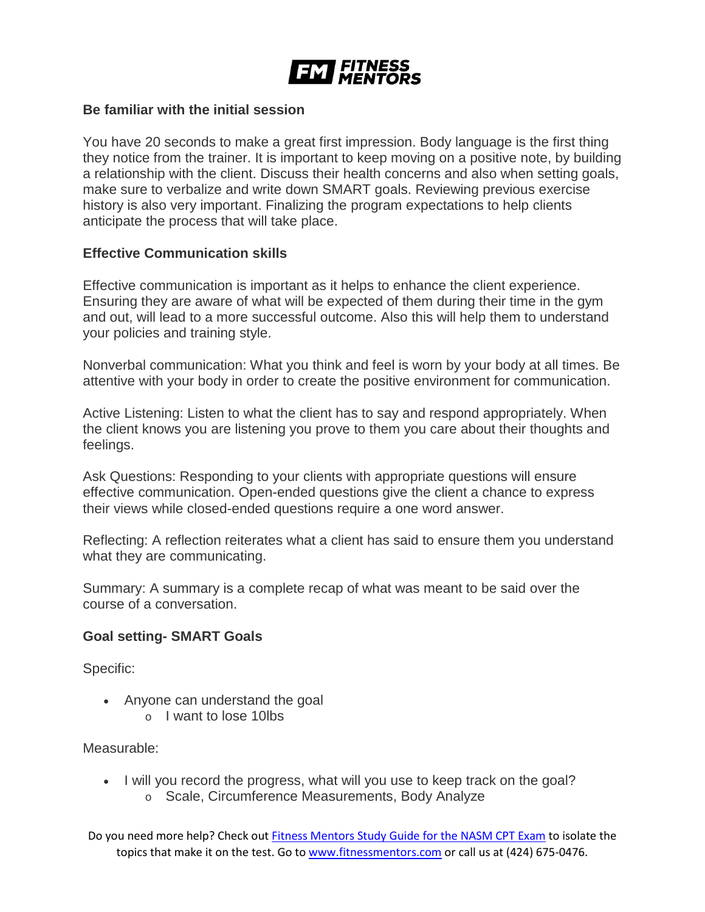

#### **Be familiar with the initial session**

You have 20 seconds to make a great first impression. Body language is the first thing they notice from the trainer. It is important to keep moving on a positive note, by building a relationship with the client. Discuss their health concerns and also when setting goals, make sure to verbalize and write down SMART goals. Reviewing previous exercise history is also very important. Finalizing the program expectations to help clients anticipate the process that will take place.

#### **Effective Communication skills**

Effective communication is important as it helps to enhance the client experience. Ensuring they are aware of what will be expected of them during their time in the gym and out, will lead to a more successful outcome. Also this will help them to understand your policies and training style.

Nonverbal communication: What you think and feel is worn by your body at all times. Be attentive with your body in order to create the positive environment for communication.

Active Listening: Listen to what the client has to say and respond appropriately. When the client knows you are listening you prove to them you care about their thoughts and feelings.

Ask Questions: Responding to your clients with appropriate questions will ensure effective communication. Open-ended questions give the client a chance to express their views while closed-ended questions require a one word answer.

Reflecting: A reflection reiterates what a client has said to ensure them you understand what they are communicating.

Summary: A summary is a complete recap of what was meant to be said over the course of a conversation.

#### **Goal setting- SMART Goals**

Specific:

- Anyone can understand the goal
	- o I want to lose 10lbs

Measurable:

• I will you record the progress, what will you use to keep track on the goal? o Scale, Circumference Measurements, Body Analyze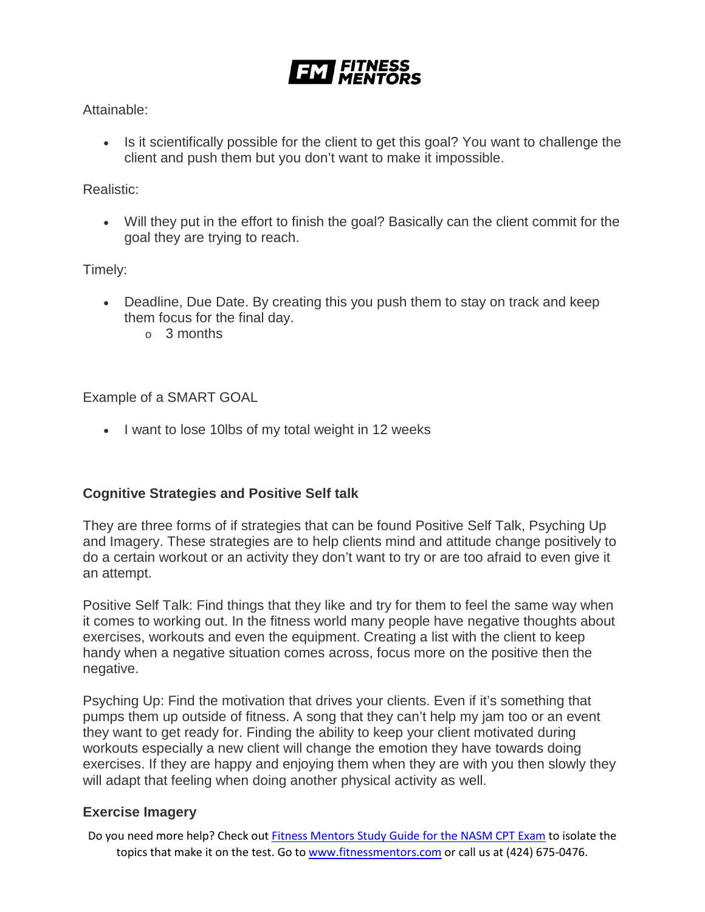

### Attainable:

• Is it scientifically possible for the client to get this goal? You want to challenge the client and push them but you don't want to make it impossible.

# Realistic:

• Will they put in the effort to finish the goal? Basically can the client commit for the goal they are trying to reach.

Timely:

- Deadline, Due Date. By creating this you push them to stay on track and keep them focus for the final day.
	- o 3 months

Example of a SMART GOAL

• I want to lose 10lbs of my total weight in 12 weeks

# **Cognitive Strategies and Positive Self talk**

They are three forms of if strategies that can be found Positive Self Talk, Psyching Up and Imagery. These strategies are to help clients mind and attitude change positively to do a certain workout or an activity they don't want to try or are too afraid to even give it an attempt.

Positive Self Talk: Find things that they like and try for them to feel the same way when it comes to working out. In the fitness world many people have negative thoughts about exercises, workouts and even the equipment. Creating a list with the client to keep handy when a negative situation comes across, focus more on the positive then the negative.

Psyching Up: Find the motivation that drives your clients. Even if it's something that pumps them up outside of fitness. A song that they can't help my jam too or an event they want to get ready for. Finding the ability to keep your client motivated during workouts especially a new client will change the emotion they have towards doing exercises. If they are happy and enjoying them when they are with you then slowly they will adapt that feeling when doing another physical activity as well.

# **Exercise Imagery**